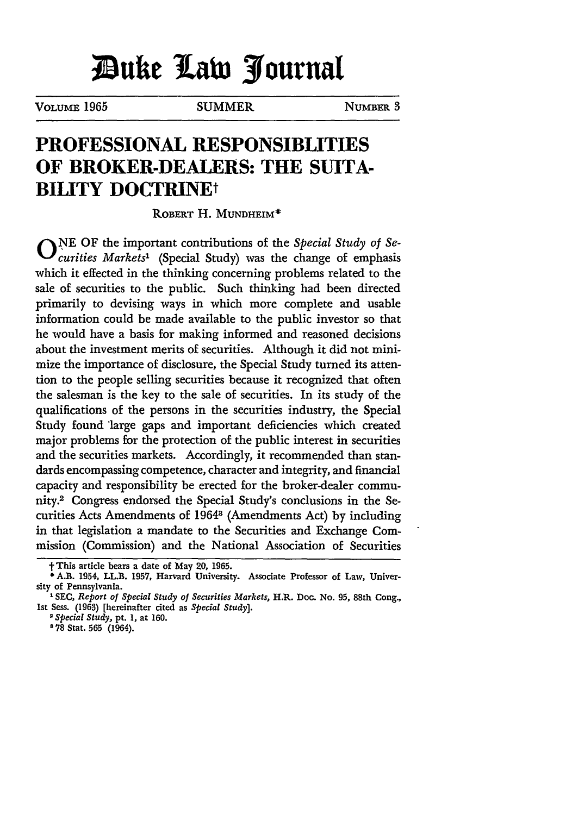# **%uke lat Journal**

**VOLUME 1965 SUMMER** NUMBER 3

## **PROFESSIONAL RESPONSIBLITIES OF BROKER-DEALERS: THE SUITA-BILITY DOCTRINEt**

ROBERT H. MUNDHEIM\*

**ONE** OF the important contributions of the *Special Study of Securities Markets'* (Special Study) was the change of emphasis which it effected in the thinking concerning problems related to the sale of securities to the public. Such thinking had been directed primarily to devising ways in which more complete and usable information could be made available to the public investor so that he would have a basis for making informed and reasoned decisions about the investment merits of securities. Although it did not minimize the importance of disclosure, the Special Study turned its attention to the people selling securities because it recognized that often the salesman is the key to the sale of securities. In its study of the qualifications of the persons in the securities industry, the Special Study found 'large gaps and important deficiencies which created major problems for the protection of the public interest in securities and the securities markets. Accordingly, it recommended than standards encompassing competence, character and integrity, and financial capacity and responsibility be erected for the broker-dealer community.2 Congress endorsed the Special Study's conclusions in the Securities Acts Amendments of 19648 (Amendments Act) by including in that legislation a mandate to the Securities and Exchange Commission (Commission) and the National Association of Securities

**8** 78 Stat. 565 (1964).

t This article bears a date of May 20, **1965.**

<sup>\*</sup> A.B. 1954, LL.B. **1957,** Harvard University. Associate Professor of Law, University of Pennsylvania. <sup>1</sup>**SEC,** *Report of Special Study of Securities Markets,* H.R. Doc. No. 95, 88th Cong.,

Ist Sess. (1963) [hereinafter cited as *Special Study]. 2 Special Study,* pt. 1, at 160.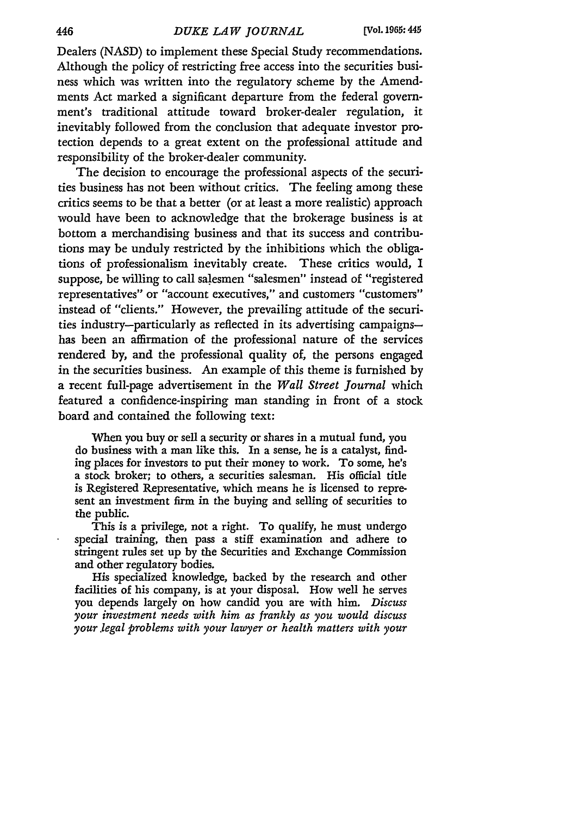#### *446 DUKE LAW JOURNAL* [Vol. 1965:445

Dealers (NASD) to implement these Special Study recommendations. Although the policy of restricting free access into the securities business which was written into the regulatory scheme by the Amendments Act marked a significant departure from the federal government's traditional attitude toward broker-dealer regulation, it inevitably followed from the conclusion that adequate investor protection depends to a great extent on the professional attitude and responsibility of the broker-dealer community.

The decision to encourage the professional aspects of the securities business has not been without critics. The feeling among these critics seems to be that a better (or at least a more realistic) approach would have been to acknowledge that the brokerage business is at bottom a merchandising business and that its success and contributions may be unduly restricted by the inhibitions which the obligations of professionalism inevitably create. These critics would, I suppose, be willing to call salesmen "salesmen" instead of "registered representatives" or "account executives," and customers "customers" instead of "clients." However, the prevailing attitude of the securities industry-particularly as reflected in its advertising campaignshas been an affirmation of the professional nature of the services rendered by, and the professional quality of, the persons engaged in the securities business. An example of this theme is furnished by a recent full-page advertisement in the *Wall Street Journal* which featured a confidence-inspiring man standing in front of a stock board and contained the following text:

When you buy or sell a security or shares in a mutual fund, you do business with a man like this. In a sense, he is a catalyst, finding places for investors to put their money to work. To some, he's a stock broker; to others, a securities salesman. His official title is Registered Representative, which means he is licensed to represent an investment firm in the buying and selling of securities to the public.

This is a privilege, not a right. To qualify, he must undergo special training, then pass a stiff examination and adhere to stringent rules set up by the Securities and Exchange Commission and other regulatory bodies.

His specialized knowledge, backed by the research and other facilities of his company, is at your disposal. How well he serves you depends largely on how candid you are with him. *Discuss your investment needs with him as frankly as you would discuss your .legal problems with your lawyer or health matters with your*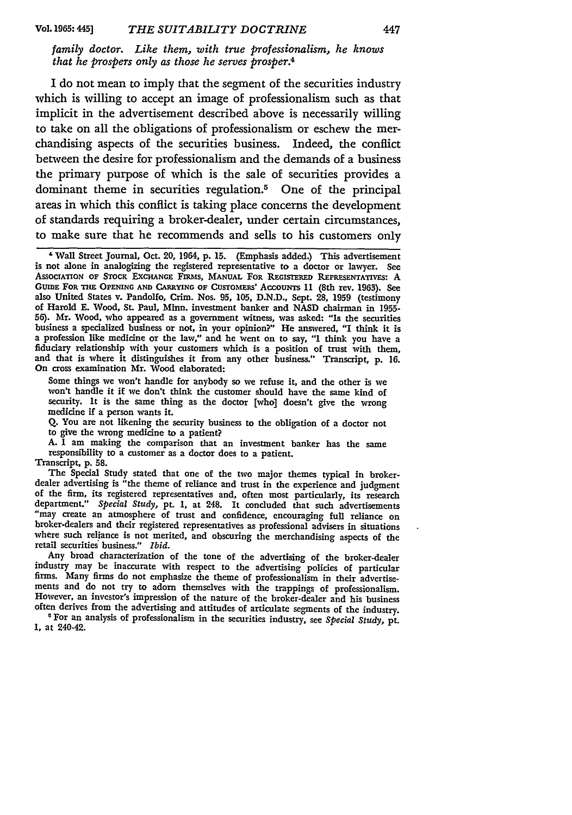*family doctor. Like them, with true professionalism, he knows that he prospers only as those he serves prosper.4*

I do not mean to imply that the segment of the securities industry which is willing to accept an image of professionalism such as that implicit in the advertisement described above is necessarily willing to take on all the obligations of professionalism or eschew the merchandising aspects of the securities business. Indeed, the conflict between the desire for professionalism and the demands of a business the primary purpose of which is the sale of securities provides a dominant theme in securities regulation.<sup>5</sup> One of the principal areas in which this conflict is taking place concerns the development of standards requiring a broker-dealer, under certain circumstances, to make sure that he recommends and sells to his customers only

Some things we won't handle for anybody so we refuse it, and the other is we won't handle it if we don't think the customer should have the same kind of security. It is the same thing as the doctor [who] doesn't give the wrong medicine if a person wants **it.**

**Q.** You are not likening the security business to the obligation of a doctor not to give the wrong medicine to a patient?

**A.** I am making the comparison that an investment banker has the same responsibility to a customer as a doctor does to a patient.

Transcript, **p. 58.**

The Special Study stated that one of the two major themes typical in brokerdealer advertising is "the theme of reliance and trust in the experience and judgment of the firm, its registered representatives and, often most particularly, its research department." *Special Study,* pt. **1,** at 248. It concluded that such advertisements "may create an atmosphere of trust and confidence, encouraging full reliance on broker-dealers and their registered representatives as professional advisers in situations where such reliance is not merited, and obscuring the merchandising aspects of the retail securities business." *Ibid.*

Any broad characterization of the tone of the advertising of the broker-dealer industry may be inaccurate with respect to the advertising policies of particular firms. Many firms do not emphasize the theme of professionalism in their advertisements and do not try to adorn themselves with the trappings of professionalism. However, an investor's impression of the nature of the broker-dealer and his business often derives from the advertising and attitudes of articulate segments of the industry.

For an analysis of professionalism in the securities industry, see *Special Study,* pt. 1, at 240-42.

**I** Wall Street Journal, Oct. *20,* 1964, **p. 15.** (Emphasis added.) This advertisement is not alone in analogizing the registered representative to a doctor or lawyer. See **ASSOCIATION OF STOCK EXCHANGE** FiRMs, **MANUAL FOR REGISTERED REPSENTATIVES** A GUIDE FOR THE OPENING AND CARRYING OF CUSTOMERS' ACCOUNTS 11 (8th rev. 1963). See also United States v. Pandolfo, Crim. Nos. **95, 105, D.N.D.,** Sept. 28, 1959 (testimony of Harold **E.** Wood, St. Paul, Minn. investment banker and **NASD** chairman in **1955- 56).** Mr. Wood, who appeared as a government witness, was asked: "Is the securities a profession like medicine or the law," and he went on to say, "I think you have a fiduciary relationship with your customers which is a position of trust with them, and that is where it distinguishes it from any other business." Transcript, **p.** 16. On cross examination Mr. Wood elaborated: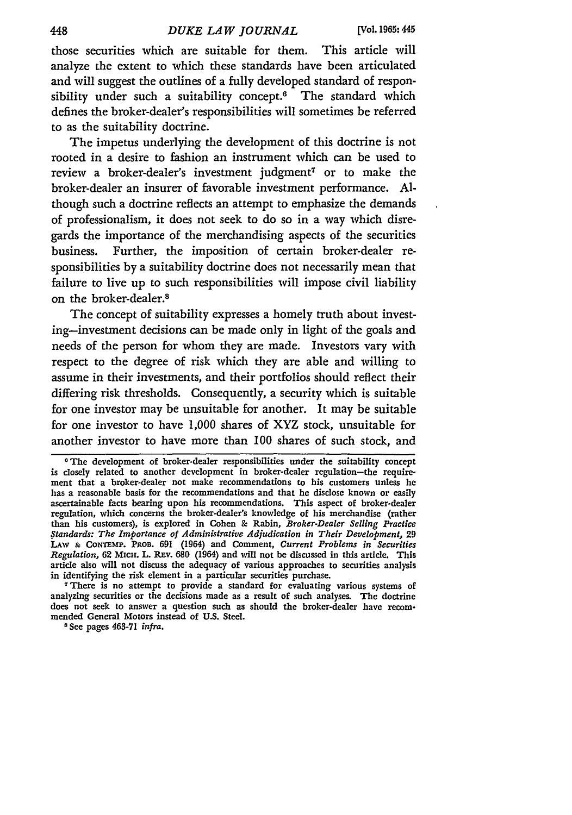those securities which are suitable for them. This article will analyze the extent to which these standards have been articulated and will suggest the outlines of a fully developed standard of responsibility under such a suitability concept.<sup>6</sup> The standard which defines the broker-dealer's responsibilities will sometimes be referred to as the suitability doctrine.

The impetus underlying the development of this doctrine is not rooted in a desire to fashion an instrument which can be used to review a broker-dealer's investment judgment<sup> $7$ </sup> or to make the broker-dealer an insurer of favorable investment performance. **Al**though such a doctrine reflects an attempt to emphasize the demands of professionalism, it does not seek to do so in a way which disregards the importance of the merchandising aspects of the securities business. Further, the imposition of certain broker-dealer responsibilities by a suitability doctrine does not necessarily mean that failure to live up to such responsibilities will impose civil liability on the broker-dealer.<sup>8</sup>

The concept of suitability expresses a homely truth about investing-investment decisions can be made only in light of the goals and needs of the person for whom they are made. Investors vary with respect to the degree of risk which they are able and willing to assume in their investments, and their portfolios should reflect their differing risk thresholds. Consequently, a security which is suitable for one investor may be unsuitable for another. It may be suitable for one investor to have 1,000 shares of XYZ stock, unsuitable for another investor to have more than 100 shares of such stock, and

<sup>7</sup>There is no attempt to provide a standard for evaluating various systems of analyzing securities or the decisions made as a result of such analyses. The doctrine does not seek to answer a question such as should the broker-dealer have recommended General Motors instead of U.S. Steel.

**8** See pages 463-71 *infra.*

<sup>&</sup>lt;sup>6</sup> The development of broker-dealer responsibilities under the suitability concept is closely related to another development in broker-dealer regulation-the require**ment that a** broker-dealer not make recommendations to his customers unless he has a reasonable basis for the recommendations and that he disclose known or easily ascertainable facts bearing upon his recommendations. This aspect of broker-dealer regulation, which concerns the broker-dealer's knowledge of his merchandise (rather than his customers), is explored in Cohen & Rabin, *Broker-Dealer Selling Practice Standards: The Importance of Administrative Adjudication in Their Development,* 29 **LAW & CONTEMP.** PaoB. 691 (1964) and Comment, *Current Problems in Securities Regulation, 62 MICH. L. REV. 680 (1964) and will not be discussed in this article. This* article also will not discuss the adequacy of various approaches to securities analysis in identifying **the** risk element in a particular securities purchase.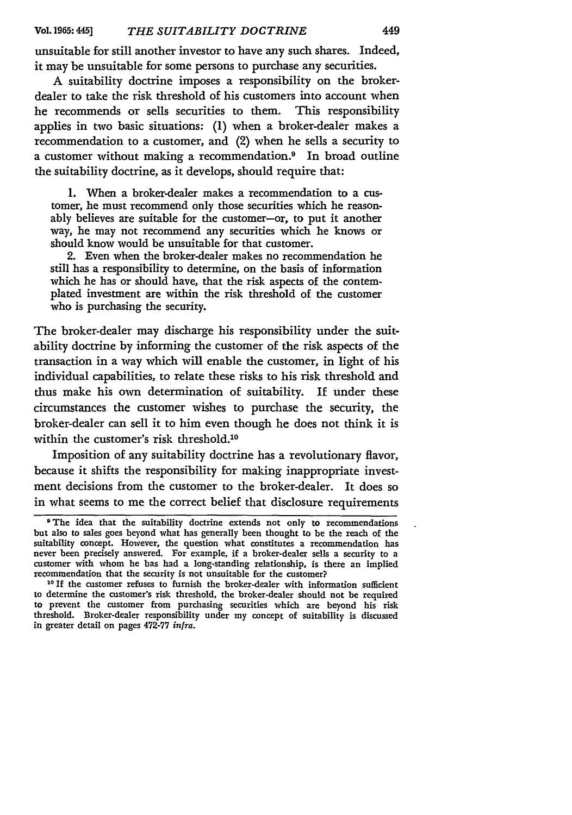unsuitable for still another investor to have any such shares. Indeed, it may be unsuitable for some persons to purchase any securities.

A suitability doctrine imposes a responsibility on the brokerdealer to take the risk threshold of his customers into account when he recommends or sells securities to them. This responsibility applies in two basic situations: (1) when a broker-dealer makes a recommendation to a customer, and (2) when he sells a security to a customer without making a recommendation. $9$  In broad outline the suitability doctrine, as it develops, should require that:

1. When a broker-dealer makes a recommendation to a customer, he must recommend only those securities which he reasonably believes are suitable for the customer-or, to put it another way, he may not recommend any securities which he knows or should know would be unsuitable for that customer.

2. Even when the broker-dealer makes no recommendation he still has a responsibility to determine, on the basis of information which he has or should have, that the risk aspects of the contemplated investment are within the risk threshold of the customer who is purchasing the security.

The broker-dealer may discharge his responsibility under the suitability doctrine by informing the customer of the risk aspects of the transaction in a way which will enable the customer, in light of his individual capabilities, to relate these risks to his risk threshold and thus make his own determination of suitability. If under these circumstances the customer wishes to purchase the security, the broker-dealer can sell it to him even though he does not think it is within the customer's risk threshold.<sup>10</sup>

Imposition of any suitability doctrine has a revolutionary flavor, because it shifts the responsibility for making inappropriate investment decisions from the customer to the broker-dealer. It does so in what seems to me the correct belief that disclosure requirements

<sup>9</sup>The idea that the suitability doctrine extends not only to recommendations but also to sales goes beyond what has generally been thought to **be** the reach of the suitability concept. However, the question what constitutes a recommendation has never been precisely answered. For example, if a broker-dealer sells a security to a customer with whom he has had a long-standing relationship, is there an implied recommendation that the security is not unsuitable for the customer?

**<sup>10</sup>** If the customer refuses to furnish the broker-dealer with information sufficient to determine the customer's risk threshold, the broker-dealer should not be required to prevent the customer from purchasing securities which are beyond his risk threshold. Broker-dealer responsibility under my concept of suitability is discussed in greater detail on pages 472-77 *infra.*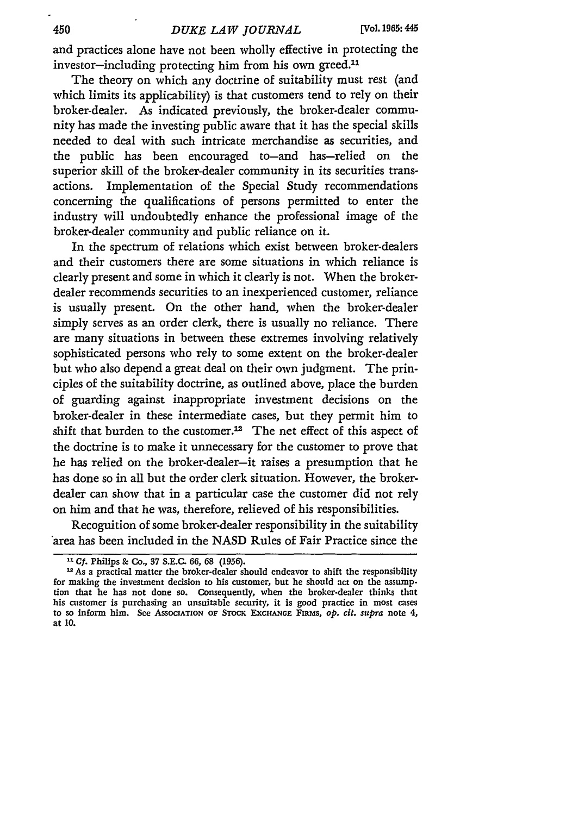and practices alone have not been wholly effective in protecting the investor-including protecting him from his own greed."1

The theory on which any doctrine of suitability must rest (and which limits its applicability) is that customers tend to rely on their broker-dealer. As indicated previously, the broker-dealer community has made the investing public aware that it has the special skills needed to deal with such intricate merchandise as securities, and the public has been encouraged to-and has-relied on the superior skill of the broker-dealer community in its securities transactions. Implementation of the Special Study recommendations concerning the qualifications of persons permitted to enter the industry will undoubtedly enhance the professional image of the broker-dealer community and public reliance on it.

In the spectrum of relations which exist between broker-dealers and their customers there are some situations in which reliance is clearly present and some in which it clearly is not. When the brokerdealer recommends securities to an inexperienced customer, reliance is usually present. On the other hand, when the broker-dealer simply serves as an order clerk, there is usually no reliance. There are many situations in between these extremes involving relatively sophisticated persons who rely to some extent on the broker-dealer but who also depend a great deal on their own judgment. The principles of the suitability doctrine, as outlined above, place the burden of guarding against inappropriate investment decisions on the broker-dealer in these intermediate cases, but they permit him to shift that burden to the customer.<sup>12</sup> The net effect of this aspect of the doctrine is to make it unnecessary for the customer to prove that he has relied on the broker-dealer-it raises a presumption that he has done so in all but the order clerk situation. However, the brokerdealer can show that in a particular case the customer did not rely on him and that he was, therefore, relieved of his responsibilities.

Recognition of some broker-dealer responsibility in the suitability area has been included in the NASD Rules of Fair Practice since the

<sup>11</sup>**Cf.** Philips & Co., **37** S.E.C. **66, 68** (1956).

<sup>&</sup>lt;sup>12</sup> As a practical matter the broker-dealer should endeavor to shift the responsibility for making the investment decision to his customer, but he should act on the assumption that he has not done so. Consequently, when the broker-dealer thinks that his customer is purchasing an unsuitable security, it is good practice in most cases to so inform him. **See ASSOCIATION OF STOCK EXCHANGE FIRMs,** *op.* cit. supra **note** 4, at **10.**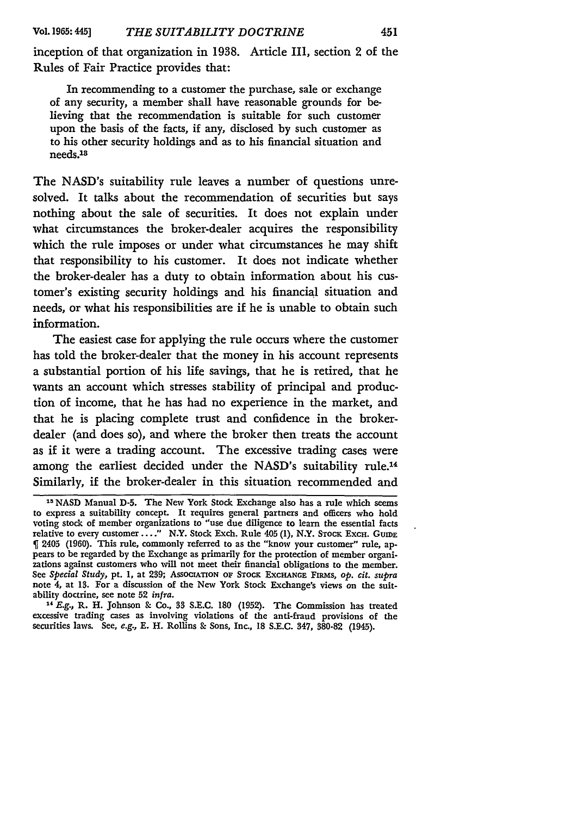inception of that organization in 1938. Article III, section 2 of the Rules of Fair Practice provides that:

In recommending to a customer the purchase, sale or exchange of any security, a member shall have reasonable grounds for believing that the recommendation is suitable for such customer upon the basis of the facts, if any, disclosed by such customer as to his other security holdings and as to his financial situation and needs.13

The NASD's suitability rule leaves a number of questions unresolved. It talks about the recommendation of securities but says nothing about the sale of securities. It does not explain under what circumstances the broker-dealer acquires the responsibility which the rule imposes or under what circumstances he may shift that responsibility to his customer. It does not indicate whether the broker-dealer has a duty to obtain information about his customer's existing security holdings and his financial situation and needs, or what his responsibilities are if he is unable to obtain such information.

The easiest case for applying the rule occurs where the customer has told the broker-dealer that the money in his account represents a substantial portion of his life savings, that he is retired, that he wants an account which stresses stability of principal and production of income, that he has had no experience in the market, and that he is placing complete trust and confidence in the brokerdealer (and does so), and where the broker then treats the account as if it were a trading account. The excessive trading cases were among the earliest decided under the NASD's suitability rule.14 Similarly, if the broker-dealer in this situation recommended and

*21 E.g.,* R. H. Johnson **&** Co., **33** S.E.C. 180 (1952). The Commission has treated excessive trading cases as involving violations of the anti-fraud provisions of the securities laws. See, *e.g.,* **E.** H. Rollins **&** Sons, Inc., 18 S.E.C. 347, 880-82 (1945).

**<sup>23</sup>**NASD Manual D-5. The New York Stock Exchange also has a rule which seems to express a suitability concept. It requires general partners and officers who hold voting stock of member organizations to "use due diligence to learn the essential facts relative to every customer...." N.Y. Stock Exch. Rule 405 (1), N.Y. STOCK EXCH. **GUIDE** 2405 (1960). This rule, commonly referred to as the "know your customer" rule, appears to be regarded by the Exchange as primarily for the protection of member organizations against customers who will not meet their financial obligations to the member. See Special Study, pt. 1, at 239; Association of Stock Exchance Firms, op. cit. supra note 4, at 13. For a discussion of the New York Stock Exchange's views on the suitability doctrine, see note **52** *infra.*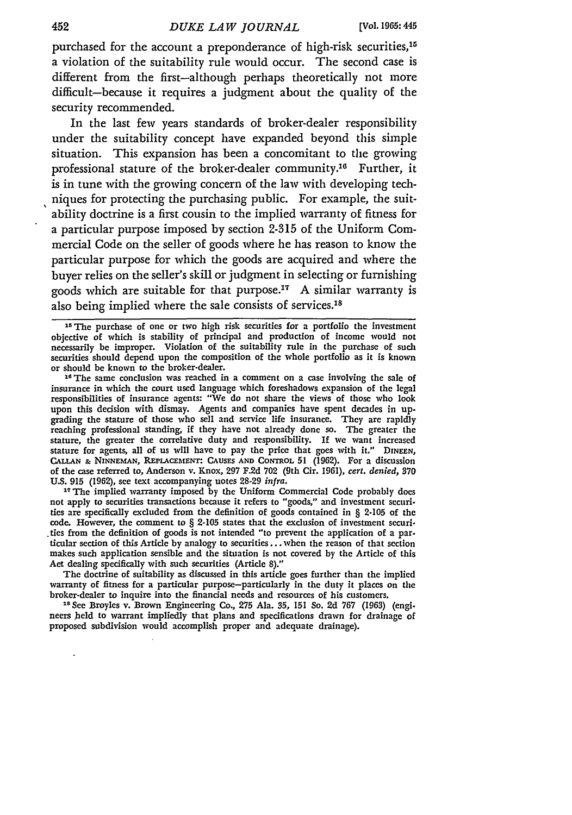purchased for the account a preponderance of high-risk securities,<sup>15</sup> a violation of the suitability rule would occur. The second case is different from the first-although perhaps theoretically not more difficult-because it requires a judgment about the quality of the security recommended.

In the last few years standards of broker-dealer responsibility under the suitability concept have expanded beyond this simple situation. This expansion has been a concomitant to the growing professional stature of the broker-dealer community.<sup>16</sup> Further, it is in tune with the growing concern of the law with developing techniques for protecting the purchasing public. For example, the suitability doctrine is a first cousin to the implied warranty of fitness for a particular purpose imposed by section 2-315 of the Uniform Commercial Code on the seller of goods where he has reason to know the particular purpose for which the goods are acquired and where the buyer relies on the seller's skill or judgment in selecting or furnishing goods which are suitable for that purpose.<sup>17</sup> A similar warranty is also being implied where the sale consists of services.<sup>18</sup>

<sup>15</sup> The purchase of one or two high risk securities for a portfolio the investment objective of which is stability of principal and production of income would not necessarily be improper. Violation of the suitability rule in the purchase of such securities should depend upon the composition of the whole portfolio as it is known or should be known to the broker-dealer.

<sup>16</sup> The same conclusion was reached in a comment on a case involving the sale of insurance in which the court used language which foreshadows expansion of the legal responsibilities of insurance agents: "We do not share the views of those who look upon this decision with dismay. Agents and companies have spent decades in upgrading the stature of those who sell and service life insurance. They are rapidly reaching professional standing, if they have not already done so. The greater the stature, the greater the correlative duty and responsibility. If we want increased stature for agents, all of us will have to pay the price that goes with it." DINEEN **CALLAN & NINNEMAN, REPLACEMENT: CAUSES AND CONTROL 51 (1962).** For a discussion of the case referred to, Anderson v. Knox, 297 **F.2d 702** (9th Cir. **1961),** *cert. denied,* **870 U.S. 915 (1962),** see text accompanying notes **28-29** *infra.* **<sup>1</sup>**

**<sup>7</sup>**The implied warranty imposed **by** the Uniform Commercial Code probably does not apply to securities transactions because it refers to "goods," and investment securities are specifically excluded from the definition of goods contained in § **2-105** of the code. However, the comment to § **2-105** states that the exclusion of investment securl. .ties from the definition of goods is not intended "to prevent the application of a par. ticular section of this Article **by** analogy to securities... when the reason of that section makes such application sensible and the situation is not covered **by** the Article of this Act dealing specifically with such securities (Article 8)."

The doctrine of suitability as discussed in this article goes further than the implied warranty of fitness for a particular purpose-particularly in the duty it places on the broker-dealer to inquire into the financial needs and resources of his customers.

"See Broyles v. Brown Engineering Co., **275** Ala. **35,** 151 So. 2d **767 (1963)** (engineers held to warrant impliedly that plans and specifications drawn for drainage of proposed subdivision would accomplish proper and adequate drainage).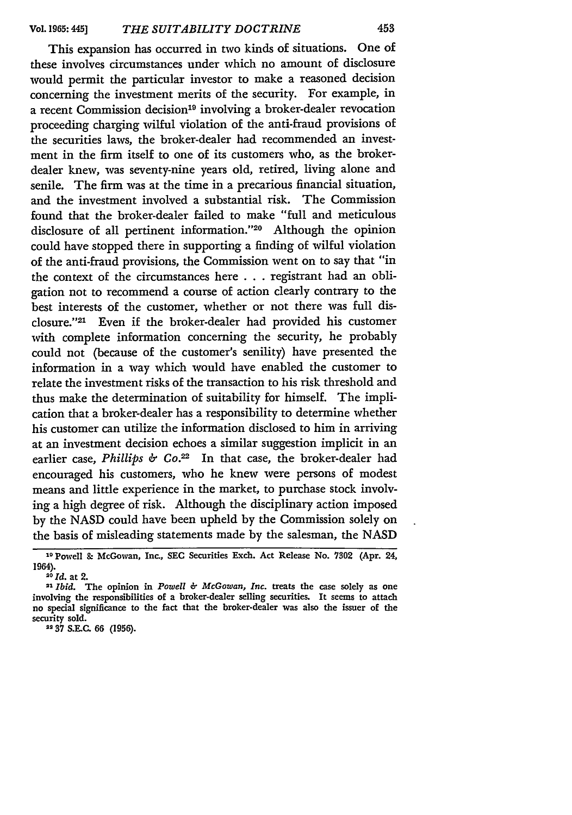This expansion has occurred in two kinds of situations. One of these involves circumstances under which no amount of disclosure would permit the particular investor to make a reasoned decision concerning the investment merits of the security. For example, in a recent Commission decision<sup>19</sup> involving a broker-dealer revocation proceeding charging wilful violation of the anti-fraud provisions of the securities laws, the broker-dealer had recommended an investment in the firm itself to one of its customers who, as the brokerdealer knew, was seventy-nine years old, retired, living alone and senile. The firm was at the time in a precarious financial situation, and the investment involved a substantial risk. The Commission found that the broker-dealer failed to make "full and meticulous disclosure of all pertinent information."<sup>20</sup> Although the opinion could have stopped there in supporting a finding of wilful violation of the anti-fraud provisions, the Commission went on to say that "in the context of the circumstances here . . . registrant had an obligation not to recommend a course of action clearly contrary to the best interests of the customer, whether or not there was full disclosure."21 Even if the broker-dealer had provided his customer with complete information concerning the security, he probably could not (because of the customer's senility) have presented the information in a way which would have enabled the customer to relate the investment risks of the transaction to his risk threshold and thus make the determination of suitability for himself. The implication that a broker-dealer has a responsibility to determine whether his customer can utilize the information disclosed to him in arriving at an investment decision echoes a similar suggestion implicit in an earlier case, *Phillips & Co.*<sup>22</sup> In that case, the broker-dealer had encouraged his customers, who he knew were persons of modest means and little experience in the market, to purchase stock involving a high degree of risk. Although the disciplinary action imposed **by** the NASD could have been upheld by the Commission solely on the basis of misleading statements made by the salesman, the NASD

**2237 S.E.C. 66** (1956).

<sup>&</sup>quot; 9 Powell **&** McGowan, Inc., **SEC** Securities Exch. Act Release No. 7502 (Apr. *24,* 1964).

 $^{20}$ *Id.* at 2.

**<sup>21</sup>***Ibid.* The opinion in *Powell & McGowan, Inc.* treats the case solely as one involving the responsibilities of a broker-dealer selling securities. It seems to attach no special significance to the fact that the broker-dealer was also the issuer of the security sold.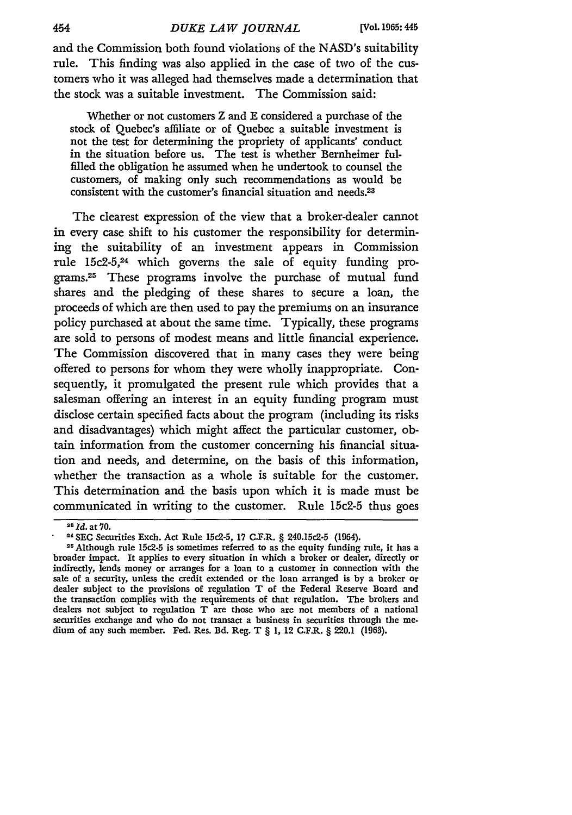and the Commission both found violations of the NASD's suitability rule. This finding was also applied in the case of two of the customers who it was alleged had themselves made a determination that the stock was a suitable investment. The Commission said:

Whether or not customers Z and **E** considered a purchase of the stock of Quebec's affiliate or of Quebec a suitable investment is not the test for determining the propriety of applicants' conduct in the situation before us. The test is whether Bernheimer fulfilled the obligation he assumed when he undertook to counsel the customers, of making only such recommendations as would be consistent with the customer's financial situation and needs.<sup>23</sup>

The clearest expression of the view that a broker-dealer cannot in every case shift to his customer the responsibility for determining the suitability of an investment appears in Commission rule 15c2-5,<sup>24</sup> which governs the sale of equity funding programs.25 These programs involve the purchase of mutual fund shares and the pledging of these shares to secure a loan, the proceeds of which are then used to pay the premiums on an insurance policy purchased at about the same time. Typically, these programs are sold to persons of modest means and little financial experience. The Commission discovered that in many cases they were being offered to persons for whom they were wholly inappropriate. Consequently, it promulgated the present rule which provides that a salesman offering an interest in an equity funding program must disclose certain specified facts about the program (including its risks and disadvantages) which might affect the particular customer, obtain information from the customer concerning his financial situation and needs, and determine, on the basis of this information, whether the transaction as a whole is suitable for the customer. This determination and the basis upon which it is made must be communicated in writing to the customer. Rule 15c2-5 thus goes

*<sup>2&</sup>quot;Id.at* **70.** <sup>21</sup>**SEC** Securities Exch. Act Rule 15c2-5, **17** C.F.R. § 240.15c2-5 (1964).

<sup>2</sup>r Although rule 15c2-5 is sometimes referred to as the equity funding rule, it has a broader impact. It applies to every situation in which a broker or dealer, directly or indirectly, lends money or arranges for a loan to a customer in connection with the sale of a security, unless the credit extended or the loan arranged is **by** a broker or dealer subject to the provisions of regulation T of the Federal Reserve Board and the transaction complies with the requirements of that regulation. The brokers and dealers not subject to regulation T are those who are not members of a national securities exchange and who do not transact a business in securities through the **me.** dium of any such member. Fed. Res. **Bd.** Reg. T § **1,** 12 C.F.R. § 220.1 **(1963).**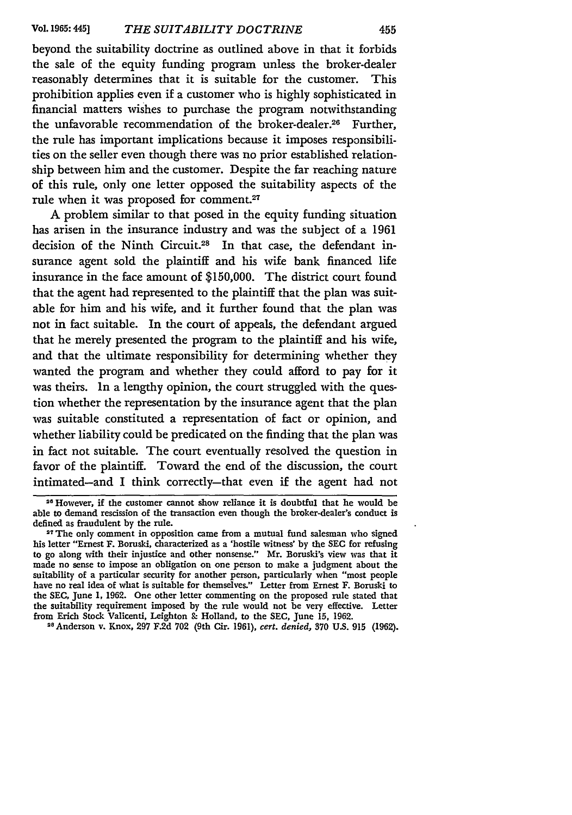beyond the suitability doctrine as outlined above in that it forbids the sale of the equity funding program unless the broker-dealer reasonably determines that it is suitable for the customer. This prohibition applies even if a customer who is **highly** sophisticated in financial matters wishes to purchase the program notwithstanding the unfavorable recommendation of the broker-dealer.<sup>26</sup> Further, the rule has important implications because it imposes responsibilities on the seller even though there was no prior established relationship between him and the customer. Despite the far reaching nature of this rule, only one letter opposed the suitability aspects of the rule when it was proposed for comment.<sup>27</sup>

**A** problem similar to that posed in the equity funding situation has arisen in the insurance industry and was the subject of a **1961** decision of the Ninth Circuit.28 In that case, the defendant insurance agent sold the plaintiff and his wife bank financed life insurance in the face amount of **\$150,000.** The district court found that the agent had represented to the plaintiff that the plan was suitable for him and his wife, and it further found that the plan was not in fact suitable. In the court of appeals, the defendant argued that he merely presented the program to the plaintiff and his wife, and that the ultimate responsibility for determining whether they wanted the program and whether they could afford to pay for it was theirs. In a lengthy opinion, the court struggled with the question whether the representation **by** the insurance agent that the plan was suitable constituted a representation of fact or opinion, and whether liability could be predicated on the finding that the plan was in fact not suitable. The court eventually resolved the question in favor of the plaintiff. Toward the end of the discussion, the court intimated-and **I** think correctly-that even if the agent had not

**2** Anderson v. Knox, **297 F.2d 702** (9th Cir. **1961),** *cert. denied,* **370 U.S. 915 (1962).**

**<sup>28</sup>**However, if the customer cannot show reliance it is doubtful that he would be able to demand rescission of the transaction even though the broker-dealer's conduct is defined as fraudulent **by** the rule.

**<sup>27</sup> The** only comment in opposition came from a mutual fund salesman who signed his letter "Ernest F. Boruski, characterized as a 'hostile witness' **by** the **SEC** for refusing to go along with their injustice and other nonsense." Mr. Boruski's view was that **it** made no sense to impose an obligation on one person to make a judgment about the suitability of a particular security for another person, particularly when "most people have no real idea of what is suitable for themselves." Letter from Ernest F. Boruski to the **SEC,** June **1, 1962.** One other letter commenting on the proposed rule stated that the suitability requirement imposed **by** the rule would not be very effective. Letter from Erich Stock Valicenti, Leighton **&** Holland, to the **SEC,** June **15, 1962.**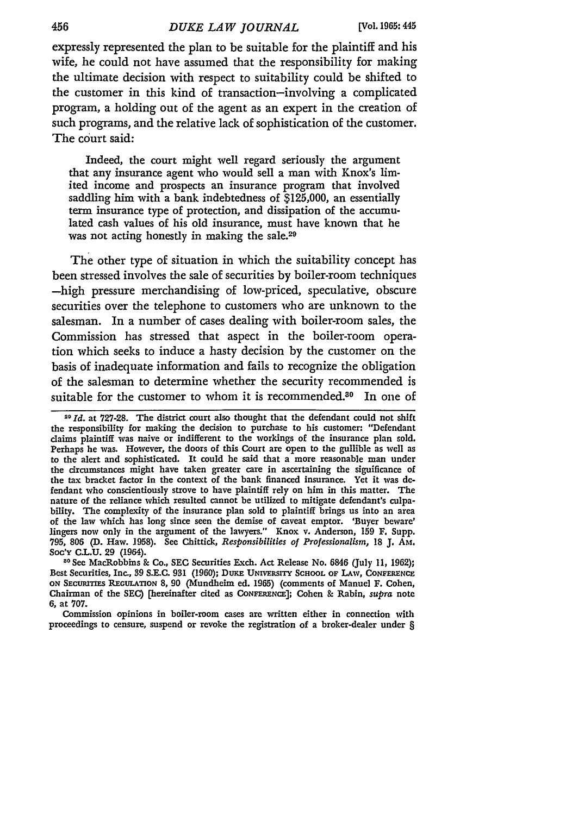#### *DUKE LAW JOURNAL*

expressly represented the plan to be suitable for the plaintiff and his wife, he could not have assumed that the responsibility for making the ultimate decision with respect to suitability could be shifted to the customer in this kind of transaction-involving a complicated program, a holding out of the agent as an expert in the creation of such programs, and the relative lack of sophistication of the customer. The court said:

Indeed, the court might well regard seriously the argument that any insurance agent who would sell a man with Knox's limited income and prospects an insurance program that involved saddling him with a bank indebtedness of **\$125,000,** an essentially term insurance type of protection, and dissipation of the accumulated cash values of his old insurance, must have known that he was not acting honestly in making the sale.<sup>29</sup>

The other type of situation in which the suitability concept has been stressed involves the sale of securities by boiler-room techniques -high pressure merchandising of low-priced, speculative, obscure securities over the telephone to customers who are unknown to the salesman. In a number of cases dealing with boiler-room sales, the Commission has stressed that aspect in the boiler-room operation which seeks to induce a hasty decision by the customer on the basis of inadequate information and fails to recognize the obligation of the salesman to determine whether the security recommended is suitable for the customer to whom it is recommended.<sup>30</sup> In one of

**<sup>30</sup>***See* MacRobbins & Co., **SEC** Securities Exch. Act Release No. 6846 (July **11,** 1962); Best Securities, Inc., **39 S.E.C. 931 (1960); DuKE UNIVEsrrY SCHOOL OF LAW, CONFERENCE ON SEcURITiES REGULAMON 8, 90** (Mundheim **ed.** 1965) (comments of Manuel F. Cohen, Chairman of the **SEC)** [hereinafter cited as **CONFFRNCE];** Cohen **9-** Rabin, *supra* note **6,** at **707.**

Commission opinions in boiler-room cases are written either in connection with proceedings to censure, suspend or revoke the registration of a broker-dealer under §

<sup>29</sup>*Id.* at **727-28.** The district court also thought that the defendant could not shift the responsibility for making the decision to purchase to his customer: "Defendant claims plaintiff was naive or indifferent to the workings of the insurance plan sold. Perhaps he was. However, the doors of this Court are open to the gullible as well as to the alert and sophisticated. It could be said that a more reasonable man under the circumstances might have taken greater care in ascertaining the significance of the tax bracket factor in the context of the bank financed insurance. Yet it was defendant who conscientiously strove to have plaintiff rely on him in this matter. The nature of the reliance which resulted cannot be utilized to mitigate defendant's culpability. The complexity of the insurance plan sold to plaintiff brings us into an area of the law which has long since seen the demise of caveat emptor. 'Buyer beware' lingers now only in the argument of the lawyers." Knox v. Anderson, **159** F. Supp. **795, 806 (D.** Haw. **1958).** See Chittick, *Responsibilities of Professionalism,* **18 J.** AM. Soc'v **C.L.U.** 29 (1964).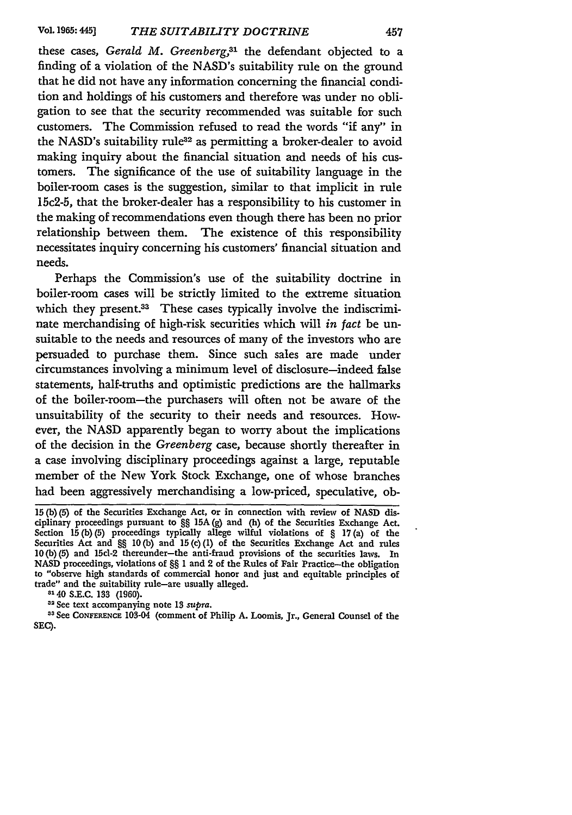these cases, *Gerald M. Greenberg,31* the defendant objected to a finding of a violation of the NASD's suitability rule on the ground that he did not have any information concerning the financial condition and holdings of his customers and therefore was under no obligation to see that the security recommended was suitable for such customers. The Commission refused to read the words "if any" in the NASD's suitability rule<sup>32</sup> as permitting a broker-dealer to avoid making inquiry about the financial situation and needs of his customers. The significance of the use of suitability language in the boiler-room cases is the suggestion, similar to that implicit in rule 15c2-5, that the broker-dealer has a responsibility to his customer in the making of recommendations even though there has been no prior relationship between them. The existence of this responsibility necessitates inquiry concerning his customers' financial situation and needs.

Perhaps the Commission's use of the suitability doctrine in boiler-room cases will be strictly limited to the extreme situation which they present.<sup>33</sup> These cases typically involve the indiscriminate merchandising of high-risk securities which will *in* fact be unsuitable to the needs and resources of many of the investors who are persuaded to purchase them. Since such sales are made under circumstances involving a minimum level of disclosure-indeed false statements, half-truths and optimistic predictions are the hallmarks of the boiler-room-the purchasers will often not be aware of the unsuitability of the security to their needs and resources. However, the NASD apparently began to worry about the implications of the decision in the *Greenberg* case, because shortly thereafter in a case involving disciplinary proceedings against a large, reputable member of the New York Stock Exchange, one of whose branches had been aggressively merchandising a low-priced, speculative, ob-

**<sup>15 (</sup>b) (5)** of the Securities Exchange Act, or in connection with review of **NASD** disciplinary proceedings pursuant to *§§* 15A (g) and (h) of the Securities Exchange Act. Section 15 (b) **(5)** proceedings typically allege wilful violations of § 17 (a) of the Securities Act and *§§* **10** (b) and **15** (c) (1) of the Securities Exchange Act and rules 10(b) (5) and 15cl-2 thereunder-the anti-fraud provisions of the securities laws. In NASD proceedings, violations of *§§* 1 and 2 of the Rules of Fair Practice-the obligation to "observe high standards of commercial honor and just and equitable principles of trade" and the suitability rule-are usually alleged.

<sup>8, 40</sup> **S.E.C. 18 (1960).** 32 See text accompanying note **13** supra.

<sup>&</sup>lt;sup>33</sup> See CONFERENCE 103-04 (comment of Philip A. Loomis, Jr., General Counsel of the **SEC).**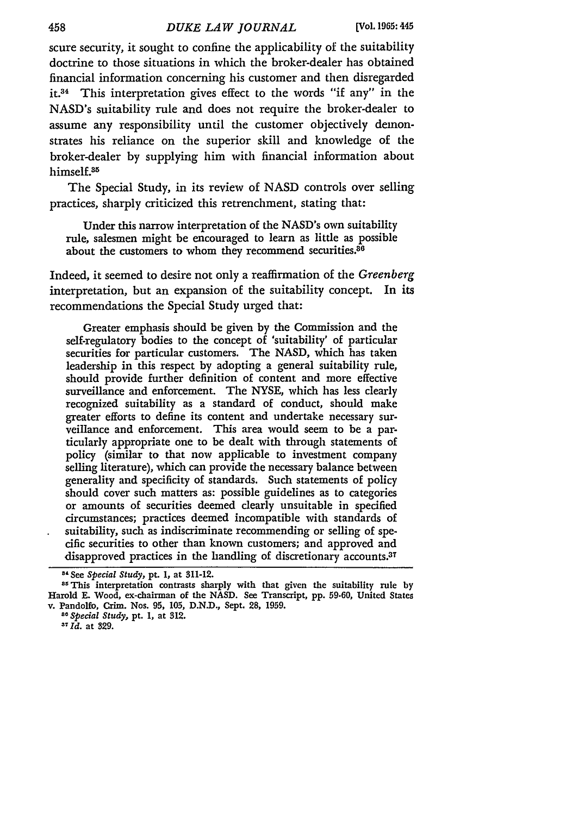scure security, it sought to confine the applicability of the suitability doctrine to those situations in which the broker-dealer has obtained financial information concerning his customer and then disregarded it. 34 This interpretation gives effect to the words "if any" in the NASD's suitability rule and does not require the broker-dealer to assume any responsibility until the customer objectively demonstrates his reliance on the superior skill and knowledge of the broker-dealer by supplying him with financial information about himself.35

The Special Study, in its review of NASD controls over selling practices, sharply criticized this retrenchment, stating that:

Under this narrow interpretation of the NASD's own suitability rule, salesmen might be encouraged to learn as little as possible about the customers to whom they recommend securities. $86$ 

Indeed, it seemed to desire not only a reaffirmation of the *Greenberg* interpretation, but an expansion of the suitability concept. In its recommendations the Special Study urged that:

Greater emphasis should be given by the Commission and the self-regulatory bodies to the concept of 'suitability' of particular securities for particular customers. The NASD, which has taken leadership in this respect by adopting a general suitability rule, should provide further definition of content and more effective surveillance and enforcement. The NYSE, which has less clearly recognized suitability as a standard of conduct, should make greater efforts to define its content and undertake necessary surveillance and enforcement. This area would seem to be a particularly appropriate one to be dealt with through statements of policy (similar to that now applicable to investment company selling literature), which can provide the necessary balance between generality and specificity of standards. Such statements of policy should cover such matters as: possible guidelines as to categories or amounts of securities deemed clearly unsuitable in specified circumstances; practices deemed incompatible with standards of suitability, such as indiscriminate recommending or selling of specific securities to other than known customers; and approved and disapproved practices in the handling of discretionary accounts.<sup>37</sup>

<sup>&</sup>lt;sup>34</sup> See *Special Study*, pt. 1, at 311-12.

<sup>&</sup>lt;sup>25</sup> This interpretation contrasts sharply with that given the suitability rule by Harold **E.** Wood, ex-chairman of the NASD. See Transcript, pp. 59-60, United Staten v. Pandolfo, Crim. Nos. 95, 105, D.N.D., Sept. 28, 1959.

*<sup>30</sup>Special Study, pt.* 1, at 312.

**<sup>37</sup>***Id.* at 329.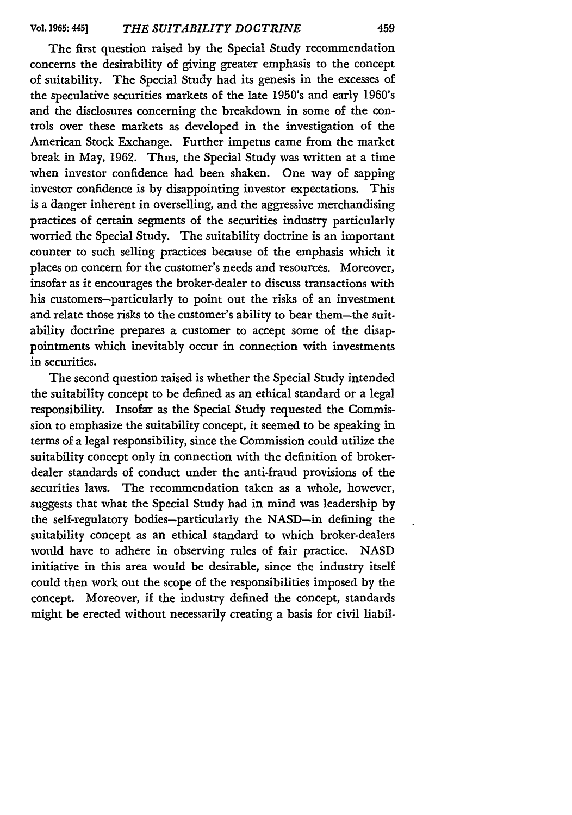The first question raised by the Special Study recommendation concerns the desirability of giving greater emphasis to the concept of suitability. The Special Study had its genesis in the excesses of the speculative securities markets of the late 1950's and early 1960's and the disclosures concerning the breakdown in some of the controls over these markets as developed in the investigation of the American Stock Exchange. Further impetus came from the market break in May, 1962. Thus, the Special Study was written at a time when investor confidence had been shaken. One way of sapping investor confidence is by disappointing investor expectations. This is a danger inherent in overselling, and the aggressive merchandising practices of certain segments of the securities industry particularly worried the Special Study. The suitability doctrine is an important counter to such selling practices because of the emphasis which it places on concern for the customer's needs and resources. Moreover, insofar as it encourages the broker-dealer to discuss transactions with his customers-particularly to point out the risks of an investment and relate those risks to the customer's ability to bear them-the suitability doctrine prepares a customer to accept some of the disappointments which inevitably occur in connection with investments in securities.

The second question raised is whether the Special Study intended the suitability concept to be defined as an ethical standard or a legal responsibility. Insofar as the Special Study requested the Commission to emphasize the suitability concept, it seemed to be speaking in terms of a legal responsibility, since the Commission could utilize the suitability concept only in connection with the definition of brokerdealer standards of conduct under the anti-fraud provisions of the securities laws. The recommendation taken as a whole, however, suggests that what the Special Study had in mind was leadership by the self-regulatory bodies-particularly the NASD-in defining the suitability concept as an ethical standard to which broker-dealers would have to adhere in observing rules of fair practice. NASD initiative in this area would be desirable, since the industry itself could then work out the scope of the responsibilities imposed by the concept. Moreover, if the industry defined the concept, standards might be erected without necessarily creating a basis for civil liabil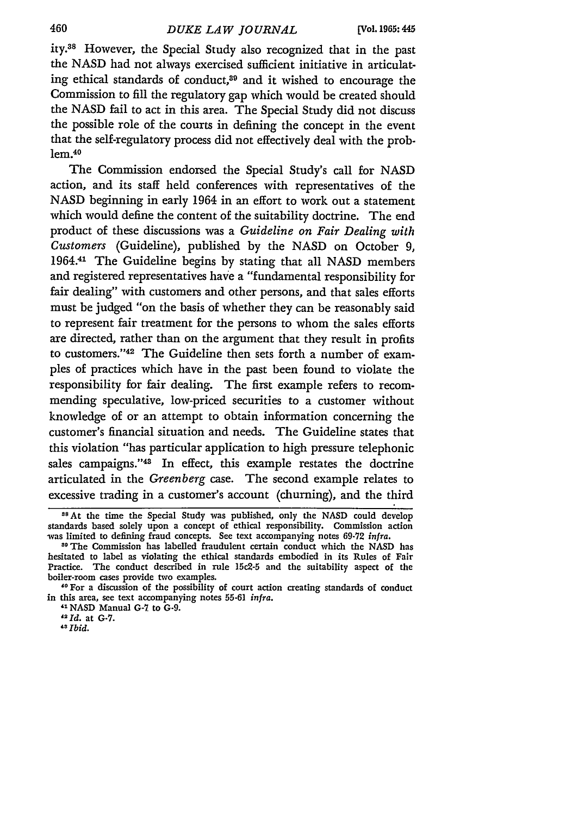ity.38 However, the Special Study also recognized that in the past the NASD had not always exercised sufficient initiative in articulating ethical standards of conduct,<sup>89</sup> and it wished to encourage the Commission to fill the regulatory gap which would be created should the NASD fail to act in this area. The Special Study did not discuss the possible role of the courts in defining the concept in the event that the self-regulatory process did not effectively deal with the problem.<sup>40</sup>

The Commission endorsed the Special Study's call for NASD action, and its staff held conferences with representatives of the NASD beginning in early 1964 in an effort to work out a statement which would define the content of the suitability doctrine. The end product of these discussions was a *Guideline on Fair Dealing with Customers* (Guideline), published by the NASD on October 9, 1964.41 The Guideline begins by stating that all NASD members and registered representatives have a "fundamental responsibility for fair dealing" with customers and other persons, and that sales efforts must be judged "on the basis of whether they can be reasonably said to represent fair treatment for the persons to whom the sales efforts are directed, rather than on the argument that they result in profits to customers."<sup>42</sup> The Guideline then sets forth a number of examples of practices which have in the past been found to violate the responsibility for fair dealing. The first example refers to recommending speculative, low-priced securities to a customer without knowledge of or an attempt to obtain information concerning the customer's financial situation and needs. The Guideline states that this violation "has particular application to high pressure telephonic sales campaigns."<sup>43</sup> In effect, this example restates the doctrine articulated in the *Greenberg* case. The second example relates to excessive trading in a customer's account (churning), and the third

<sup>&</sup>lt;sup>8</sup> At the time the Special Study was published, only the NASD could develop standards based solely upon a concept of ethical responsibility. Commission action was limited to defining fraud concepts. See text accompanying notes 69-72 *infra*.

**<sup>39</sup> The** Commission has labelled fraudulent certain conduct which the NASD has hesitated to label as violating the ethical standards embodied in its Rules of Fair Practice. The conduct described in rule 15c2-5 and the suitability aspect of the boiler-room cases provide two examples.

**<sup>10</sup>**For a discussion of the possibility of court action creating standards of conduct in this area, see text accompanying notes **55-61** *infra.* **,"NASD** Manual **G-7** to **G-9.**

*<sup>42</sup> Id.* at **G-7.**

**<sup>3</sup>** *Ibid.*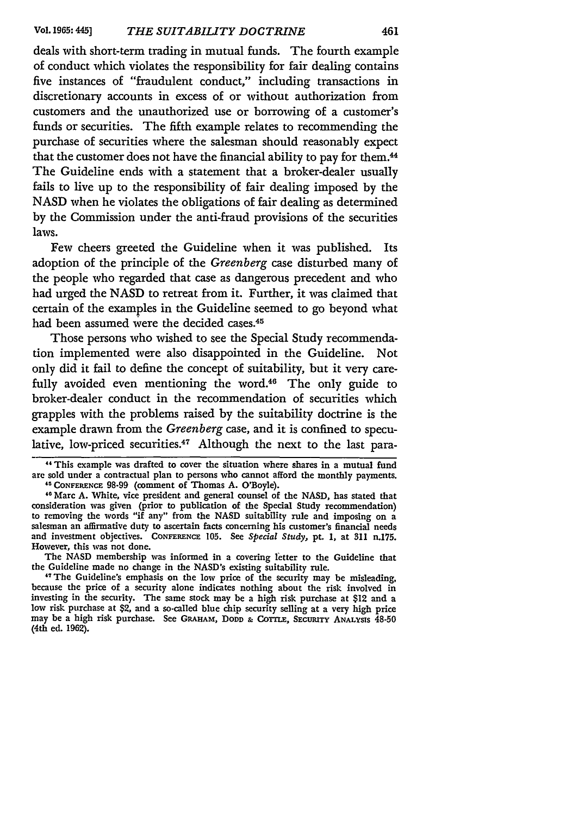461

deals with short-term trading in mutual funds. The fourth example of conduct which violates the responsibility for fair dealing contains five instances of "fraudulent conduct," including transactions in discretionary accounts in excess of or without authorization from customers and the unauthorized use or borrowing of a customer's funds or securities. The fifth example relates to recommending the purchase of securities where the salesman should reasonably expect that the customer does not have the financial ability to pay for them. <sup>44</sup> The Guideline ends with a statement that a broker-dealer usually fails to live up to the responsibility of fair dealing imposed by the NASD when he violates the obligations of fair dealing as determined by the Commission under the anti-fraud provisions of the securities laws.

Few cheers greeted the Guideline when it was published. Its adoption of the principle of the *Greenberg* case disturbed many of the people who regarded that case as dangerous precedent and who had urged the NASD to retreat from it. Further, it was claimed that certain of the examples in the Guideline seemed to go beyond what had been assumed were the decided cases.<sup>45</sup>

Those persons who wished to see the Special Study recommendation implemented were also disappointed in the Guideline. Not only did it fail to define the concept of suitability, but it very carefully avoided even mentioning the word.<sup>46</sup> The only guide to broker-dealer conduct in the recommendation of securities which grapples with the problems raised by the suitability doctrine is the example drawn from the *Greenberg* case, and it is confined to speculative, low-priced securities.<sup>47</sup> Although the next to the last para-

"This example was drafted to cover the situation where shares in a mutual fund are sold under a contractual plan to persons who cannot afford the monthly payments. **' CONFERENCE 98-99** (comment of Thomas **A.** O'Boyle).

**0** Marc **A.** White, vice president and general counsel of the **NASD,** has stated that consideration was given (prior to publication of the Special Study recommendation) to removing the words "if any" from the NASD suitability rule and imposing on a<br>salesman an affirmative duty to ascertain facts concerning his customer's financial needs and investment objectives. CONFRENCE 105. See *Special Study,* pt. **1,** at **311** n.175. However, this was not done.

The NASD membership was informed in a covering letter to the Guideline that the Guideline made no change in the NASD's existing suitability rule.

"7 The Guideline's emphasis on the low price of the security may be misleading, because the price of a security alone indicates nothing about the risk involved in investing in the security. The same stock may be a high risk purchase at \$12 and a low risk purchase at \$2, and a so-called blue chip security selling at a very high price low risk purchase at \$2, and a so-called blue chip security selling at a very high price may be a high risk purchase. See GRAHAM, DODD & COTTLE, SECURITY ANALYSTS 48-50 (4th ed. 1962).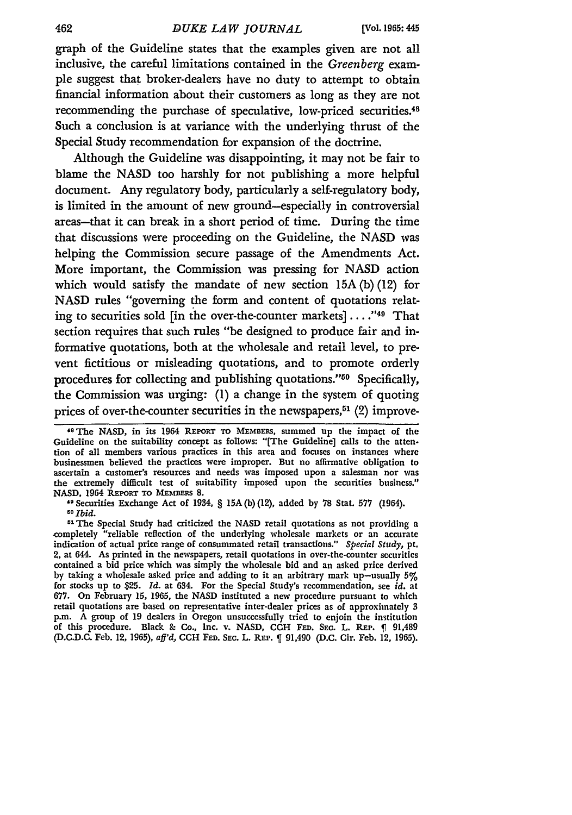#### *DUKE LAW JOURNAL*

graph of the Guideline states that the examples given are not all inclusive, the careful limitations contained in the *Greenberg* example suggest that broker-dealers have no duty to attempt to obtain financial information about their customers as long as they are not recommending the purchase of speculative, low-priced securities.<sup>48</sup> Such a conclusion is at variance with the underlying thrust of the Special Study recommendation for expansion of the doctrine.

Although the Guideline was disappointing, it may not be fair to blame the **NASD** too harshly for not publishing a more helpful document. Any regulatory body, particularly a self-regulatory body, is limited in the amount of new ground-especially in controversial areas-that it can break in a short period of time. During the time that discussions were proceeding on the Guideline, the **NASD** was helping the Commission secure passage of the Amendments Act. More important, the Commission was pressing for **NASD** action which would satisfy the mandate of new section **15A (b) (12)** for **NASD** rules "governing the form and content of quotations relating to securities sold [in the over-the-counter markets] **.... "4"** That section requires that such rules "be designed to produce fair and informative quotations, both at the wholesale and retail level, to prevent fictitious or misleading quotations, and to promote orderly procedures for collecting and publishing quotations."<sup>50</sup> Specifically, the Commission was urging: **(1)** a change in the system of quoting prices of over-the-counter securities in the newspapers,  $51$  (2) improve-

" Securities Exchange Act of 1934, § **15A (b)** (12), added **by 78** Stat. **577** (1964). *1o Ibid.*

**<sup>51</sup>**The Special Study had criticized the **NASD** retail quotations as not providing a completely "reliable reflection of the underlying wholesale markets or an accurate indication of actual price range of consummated retail transactions." *Special Study,* pt. 2, at 644. As printed in the newspapers, retail quotations in over-the-counter securities contained a bid price which was simply the wholesale bid and an asked price derived **by** taking a wholesale asked price and adding to it an arbitrary mark up-usually **5%** for stocks up to **\$25.** *Id.* at 634. For the Special Study's recommendation, **see** *id.* at **677.** On February **15, 1965,** the **NASD** instituted a new procedure pursuant to which retail quotations are based on representative inter-dealer prices as of approximately 3 p.m. A group of **19** dealers in Oregon unsuccessfully tried to enjoin the institution of this procedure. Black **S.** Co., Inc. v. NASD, **CCH FED. SEc.** L. REP. 91,489 (D.C.D.C. Feb. **12, 1965),** *aff'd,* **CCH FED. SEC.** L. REP. **91,490 (D.C.** Cir. Feb. 12, **1965).**

**<sup>&#</sup>x27;8** The **NASD,** in its 1964 REPORT TO MEMBERS, summed up the impact of the Guideline on the suitability concept as follows: "[The Guideline] calls to the atten**tion** of all members various practices in this area and focuses on instances where businessmen believed the practices were improper. But no affirmative obligation to ascertain a customer's resources and needs was imposed upon a salesman nor was the extremely difficult test of suitability imposed upon the securities business." **NASD,** 1964 **REPORT TO MEMBERS 8.**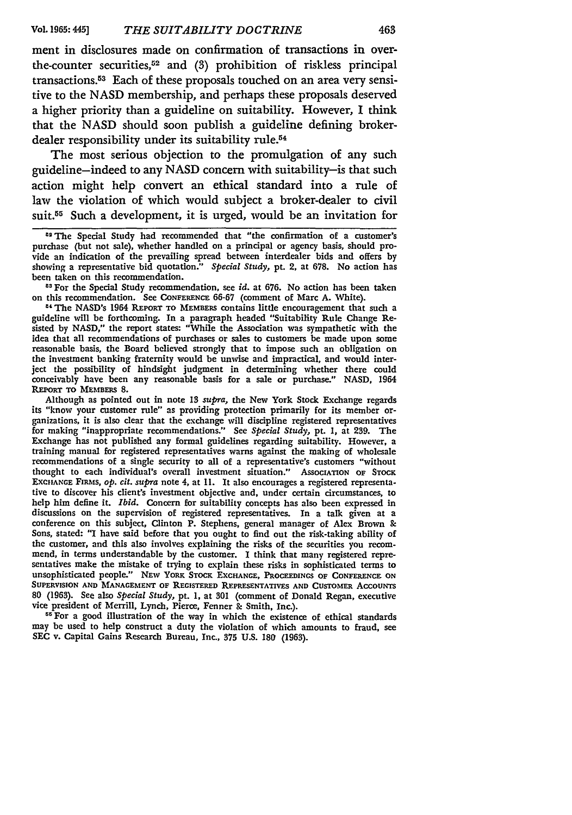ment in disclosures made on confirmation of transactions in overthe-counter securities, 52 and **(3)** prohibition of riskless principal transactions.53 Each of these proposals touched on an area very sensitive to the NASD membership, and perhaps these proposals deserved a higher priority than a guideline on suitability. However, I think that the NASD should soon publish a guideline defining brokerdealer responsibility under its suitability rule.<sup>54</sup>

The most serious objection to the promulgation of any such guideline-indeed to any NASD concern with suitability-is that such action might help convert an ethical standard into a rule of law the violation of which would subject a broker-dealer to civil suit.<sup>55</sup> Such a development, it is urged, would be an invitation for

**0'** For the Special Study recommendation, see *id.* at **676.** No action has been taken on this recommendation. See CONFERENCE **66-67** (comment of Marc **A.** White).

**0'** The NASD's 1964 REPORT **TO** MEMBERS contains little encouragement that such a guideline will be forthcoming. In a paragraph headed "Suitability Rule Change Resisted **by** NASD," the report states: "While the Association was sympathetic with the idea that all recommendations of purchases or sales to customers be made upon some reasonable basis, the Board believed strongly that to impose such an obligation on the investment banking fraternity would be unwise and impractical, and would interject the possibility of hindsight judgment in determining whether there could conceivably have been any reasonable basis for a sale or purchase." **NASD,** 1964 REPORT TO MEMBERS **8.**

Although as pointed out in note **13** *supra,* the New York Stock Exchange regards its "know your customer rule" as providing protection primarily for its member organizations, it is also clear that the exchange will discipline registered representatives for making "inappropriate recommendations." See *Special Study,* pt. **1,** at **239.** The Exchange has not published any formal guidelines regarding suitability. However, a training manual for registered representatives warns against the making of wholesale recommendations of a single security to all of a representative's customers "without thought to each individual's overall investment situation." **AssocIATION OF** STOCK EXCHANGE FIRMS, op. cit. supra note 4, at 11. It also encourages a registered representative to discover his client's investment objective and, under certain circumstances, to help him define it. *Ibid.* Concern for suitability concepts has also been expressed in discussions on the supervision of registered representatives. In a talk given at a conference on this subject, Clinton P. Stephens, general manager of Alex Brown **&** Sons, stated: "I have said before that you ought to find out the risk-taking ability of the customer, and this also involves explaining the risks of the securities you recommend, in terms understandable **by** the customer. I think that many registered representatives make the mistake of trying to explain these risks in sophisticated terms to unsophisticated people." NEw YORK STOCK EXCHANGE, **PROCEEDINGS OF CONFERENCE ON SUPERVISION AND** MANAGEMENT OF REGISTERED REPRESENTATIVES **AND CUSTOMER** ACCOUNTS 80 (1963). See also *Special Study,* pt. 1, at **301** (comment of Donald Regan, executive vice president of Merrill, Lynch, Pierce, Fenner **&** Smith, Inc.).

<sup>55</sup> For a good illustration of the way in which the existence of ethical standards may be used to help construct a duty the violation of which amounts to fraud, see **SEC** v. Capital Gains Research Bureau, Inc., **375 U.S.** 180 (1963).

<sup>&</sup>lt;sup>52</sup> The Special Study had recommended that "the confirmation of a customer's purchase (but not sale), whether handled on a principal or agency basis, should provide an indication of the prevailing spread between interdealer bids and offers **by** showing a representative bid quotation." *Special Study,* pt. 2, at **678.** No action has been taken on this recommendation.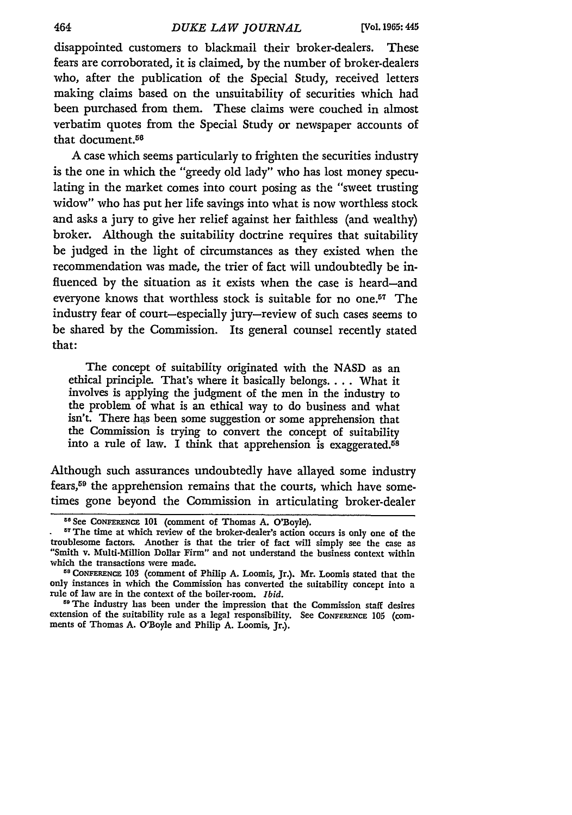disappointed customers to blackmail their broker-dealers. These fears are corroborated, it is claimed, by the number of broker-dealers who, after the publication of the Special Study, received letters making claims based on the unsuitability of securities which had been purchased from them. These claims were couched in almost verbatim quotes from the Special Study or newspaper accounts of that document.<sup>56</sup>

A case which seems particularly to frighten the securities industry is the one in which the "greedy old lady" who has lost money speculating in the market comes into court posing as the "sweet trusting widow" who has put her life savings into what is now worthless stock and asks a jury to give her relief against her faithless (and wealthy) broker. Although the suitability doctrine requires that suitability be judged in the light of circumstances as they existed when the recommendation was made, the trier of fact will undoubtedly be influenced by the situation as it exists when the case is heard-and everyone knows that worthless stock is suitable for no one.<sup>57</sup> The industry fear of court-especially jury-review of such cases seems to be shared by the Commission. Its general counsel recently stated that:

The concept of suitability originated with the NASD as an ethical principle. That's where it basically belongs.... What it involves is applying the judgment of the men in the industry to the problem of what is an ethical way to do business and what isn't. There has been some suggestion or some apprehension that the Commission is trying to convert the concept of suitability into a rule of law. I think that apprehension is exaggerated.<sup>58</sup>

Although such assurances undoubtedly have allayed some industry fears,<sup>59</sup> the apprehension remains that the courts, which have sometimes gone beyond the Commission in articulating broker-dealer

59 The industry has been under the impression that the Commission staff desires extension of the suitability rule as a legal responsibility. See **CONFERENCE 105** (comments of Thomas **A.** O'Boyle and Philip A. Loomis, Jr.).

<sup>&</sup>lt;sup>55</sup> See CONFERENCE 101 (comment of Thomas A. O'Boyle).<br><sup>57</sup> The time at which review of the broker-dealer's action occurs is only one of the troublesome factors. Another is that the trier of fact will simply see the case "Smith v. Multi-Million Dollar Firm" and not understand the business context within which the transactions were made. **<sup>5</sup>**

**s CONFERENCE 103** (comment of Philip A. Loomis, Jr.). Mr. Loomis stated that the only instances in which the Commission has converted the suitability concept into a rule of law are in the context of the boiler-room. *ibid.*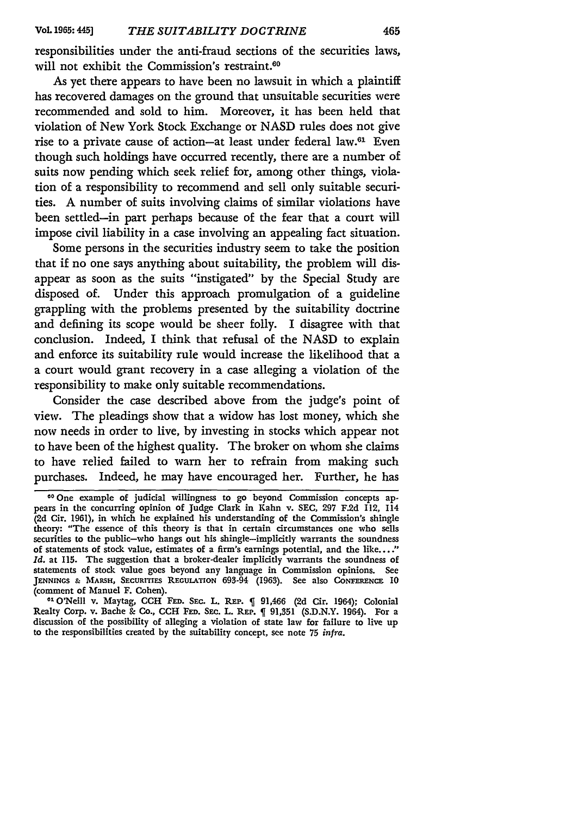responsibilities under the anti-fraud sections of the securities laws, will not exhibit the Commission's restraint.<sup>60</sup>

As yet there appears to have been no lawsuit in which a plaintiff has recovered damages on the ground that unsuitable securities were recommended and sold to him. Moreover, it has been held that violation of New York Stock Exchange or NASD rules does not give rise to a private cause of action-at least under federal law.<sup>61</sup> Even though such holdings have occurred recently, there are a number of suits now pending which seek relief for, among other things, violation of a responsibility to recommend and sell only suitable securities. A number of suits involving claims of similar violations have been settled-in part perhaps because of the fear that a court will impose civil liability in a case involving an appealing fact situation.

Some persons in the securities industry seem to take the position that if no one says anything about suitability, the problem will disappear as soon as the suits "instigated" by the Special Study are disposed of. Under this approach promulgation of a guideline grappling with the problems presented by the suitability doctrine and defining its scope would be sheer folly. I disagree with that conclusion. Indeed, I think that refusal of the NASD to explain and enforce its suitability rule would increase the likelihood that a a court would grant recovery in a case alleging a violation of the responsibility to make only suitable recommendations.

Consider the case described above from the judge's point of view. The pleadings show that a widow has lost money, which she now needs in order to live, by investing in stocks which appear not to have been of the highest quality. The broker on whom she claims to have relied failed to warn her to refrain from making such purchases. Indeed, he may have encouraged her. Further, he has

**6l** O'Neill v. Maytag, **CCH** FED. SEc. L. RaP. 91,466 **(2d** Cir. 1964); Colonial Realty Corp. v. Bache & Co., **CCH FED.** SEC. L. REP. 91,351 (S.D.N.Y. 1964). For a discussion of the possibility of alleging a violation of state law for failure to live up to the responsibilities created by the suitability concept, see note **75** *infra.*

**<sup>10</sup>** One example of judicial willingness to go beyond Commission concepts appears in the concurring opinion of Judge Clark in Kahn v. **SEC, 297 F.2d** 112, 114 **(2d** Cir. **1961),** in which he explained his understanding of the Commission's shingle theory: "The essence of this theory is that in certain circumstances one who sells securities to the public-who hangs out his shingle-implicitly warrants the soundness of statements of stock value, estimates of a firm's earnings potential, and the like...." *Id.* at 115. The suggestion that a broker-dealer implicitly warrants the soundness of statements of stock value goes beyond any language in Commission opinions. See **JENNINGS** & **MARSH,** SECURITIES REGULATION 693-94 **(1963).** See also **CONFERENCE 10** (comment of Manuel F. Cohen).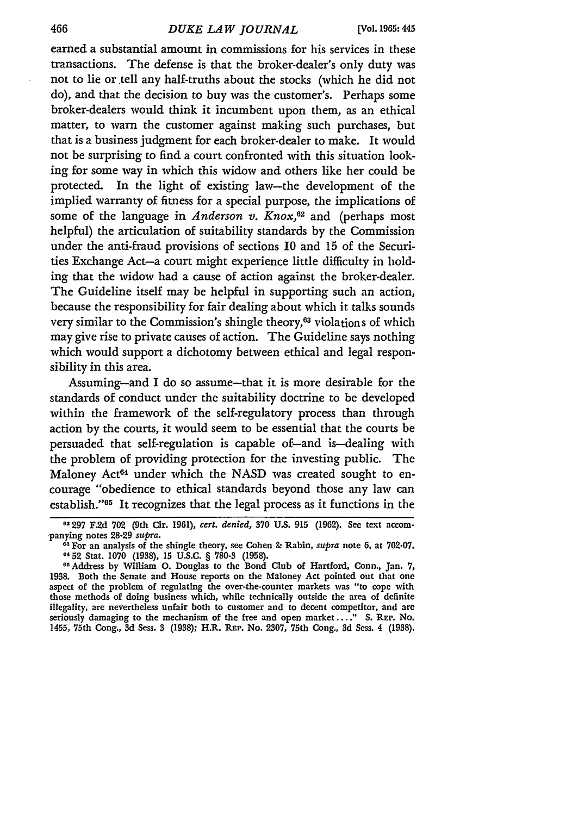earned a substantial amount in commissions for his services in these transactions. The defense is that the broker-dealer's only duty was not to lie or .tell any half-truths about the stocks (which he did not do), and that the decision to buy was the customer's. Perhaps some broker-dealers would think it incumbent upon them, as an ethical matter, to warn the customer against making such purchases, but that is a business judgment for each broker-dealer to make. It would not be surprising to find a court confronted with this situation looking for some way in which this widow and others like her could be protected. In the light of existing law-the development of the implied warranty of fitness for a special purpose, the implications of some of the language in *Anderson v. Knox*,<sup>62</sup> and (perhaps most helpful) the articulation of suitability standards by the Commission under the anti-fraud provisions of sections 10 and 15 of the Securities Exchange Act-a court might experience little difficulty in holding that the widow had a cause of action against the broker-dealer. The Guideline itself may be helpful in supporting such an action, because the responsibility for fair dealing about which it talks sounds very similar to the Commission's shingle theory,<sup>63</sup> violations of which may give rise to private causes of action. The Guideline says nothing which would support a dichotomy between ethical and legal responsibility in this area.

Assuming-and I do so assume-that it is more desirable for the standards of conduct under the suitability doctrine to be developed within the framework of the self-regulatory process than through action by the courts, it would seem to be essential that the courts be persuaded that self-regulation is capable of-and is-dealing with the problem of providing protection for the investing public. The Maloney Act<sup>64</sup> under which the NASD was created sought to encourage "obedience to ethical standards beyond those any law can establish."<sup>65</sup> It recognizes that the legal process as it functions in the

**<sup>02</sup>297 F.2d 702** (9th Cir. 1961), *cert. denied,* **370 U.S. 915 (1962). See** text accom- -panying notes **28-29** *supra.*

**<sup>63</sup>**For an analysis of the shingle theory, see Cohen & Rabin, *supra* note **6,** at **702-07. 6,52** Stat. **1070 (1938), 15 U.S.C.** § **780-3 (1958).**

**<sup>65</sup>** Address **by** William **0.** Douglas to the Bond Club of Hartford, Conn., Jan. **7, 1938.** Both the Senate and House reports on the Maloney Act pointed out that one aspect of the problem of regulating the over-the-counter markets was "to cope with those methods of doing business which, while technically outside the area of definite illegality, are nevertheless unfair both to customer and to decent competitor, and are seriously damaging to the mechanism of the free and open market...." **S. REP.** No. 1455, 75th Cong., **3d** Sess. 3 **(1938);** H.R. REP. No. **2307,** 75th Cong., **3d** Sess. 4 **(1938).**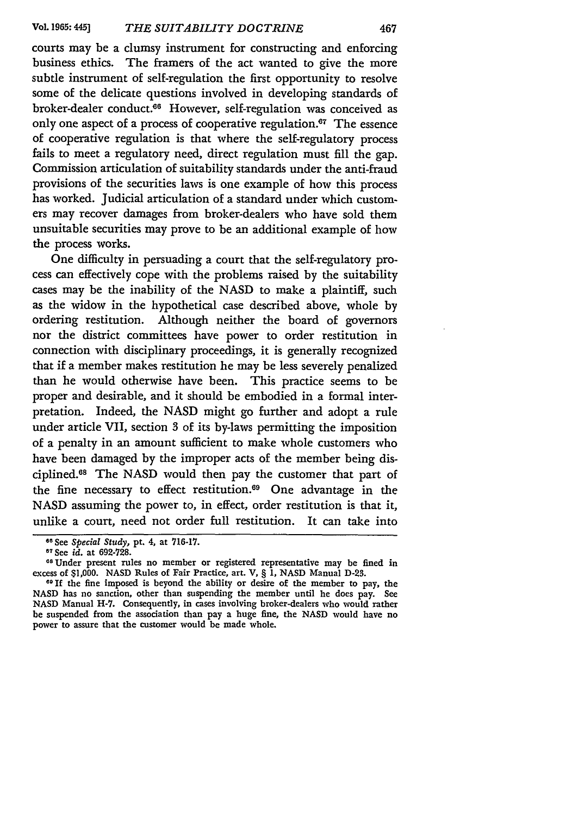courts may be a clumsy instrument for constructing and enforcing business ethics. The framers of the act wanted to give the more subtle instrument of self-regulation the first opportunity to resolve some of the delicate questions involved in developing standards of broker-dealer conduct.<sup>66</sup> However, self-regulation was conceived as only one aspect of a process of cooperative regulation.<sup>67</sup> The essence of cooperative regulation is that where the self-regulatory process fails to meet a regulatory need, direct regulation must fill the gap. Commission articulation of suitability standards under the anti-fraud provisions of the securities laws is one example of how this process has worked. Judicial articulation of a standard under which customers may recover damages from broker-dealers who have sold them unsuitable securities may prove to be an additional example of how the process works.

One difficulty in persuading a court that the self-regulatory process can effectively cope with the problems raised by the suitability cases may be the inability of the NASD to make a plaintiff, such as the widow in the hypothetical case described above, whole by ordering restitution. Although neither the board of governors nor the district committees have power to order restitution in connection with disciplinary proceedings, it is generally recognized that if a member makes restitution he may be less severely penalized than he would otherwise have been. This practice seems to be proper and desirable, and it should be embodied in a formal interpretation. Indeed, the NASD might go further and adopt a rule under article VII, section 3 of its by-laws permitting the imposition of a penalty in an amount sufficient to make whole customers who have been damaged by the improper acts of the member being disciplined.68 The NASD would then pay the customer that part of the fine necessary to effect restitution.<sup>69</sup> One advantage in the NASD assuming the power to, in effect, order restitution is that it, unlike a court, need not order full restitution. It can take into

**<sup>68</sup>**See *Special Study,* pt. 4, at **716-17.**

**<sup>07</sup>**See *id.* at 692-728.

**<sup>08</sup>**Under present rules no member or registered representative may be fined in excess of **\$1,000.** NASD Rules of Fair Practice, art. *V,* **§ 1,** NASD Manual D-23.

**<sup>60</sup>**If the fine imposed is beyond the ability or desire of the member to pay, the NASD has no sanction, other than suspending the member until he does pay. See NASD Manual **H-7.** Consequently, in cases involving broker-dealers who would rather be suspended from the association than pay a huge fine, the NASD would have no power to assure that the customer would be made whole.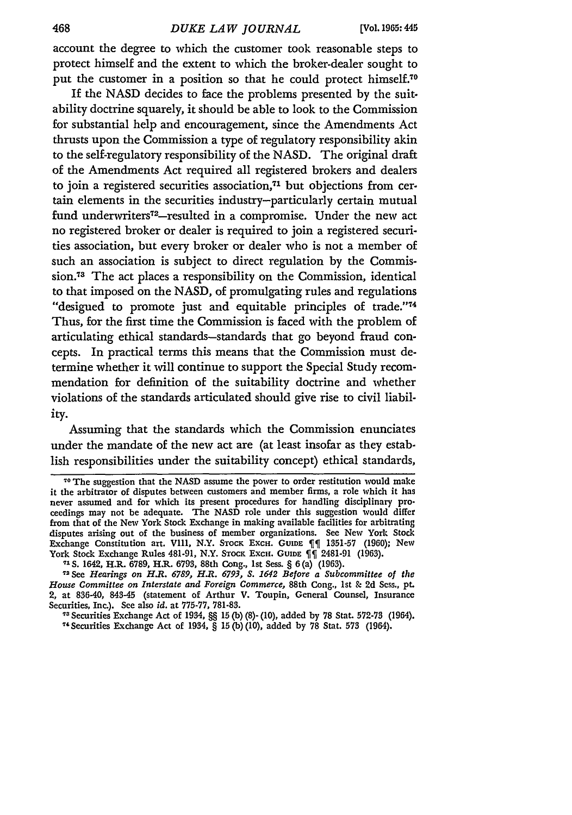account the degree to which the customer took reasonable steps to protect himself and the extent to which the broker-dealer sought to put the customer in a position so that he could protect himself.70

If the NASD decides to face the problems presented by the suitability doctrine squarely, it should be able to look to the Commission for substantial help and encouragement, since the Amendments Act thrusts upon the Commission a type of regulatory responsibility akin to the self-regulatory responsibility of the NASD. The original draft of the Amendments Act required all registered brokers and dealers to join a registered securities association,71 but objections from certain elements in the securities industry-particularly certain mutual fund underwriters<sup>72</sup>-resulted in a compromise. Under the new act no registered broker or dealer is required to join a registered securities association, but every broker or dealer who is not a member of such an association is subject to direct regulation by the Commission.73 The act places a responsibility on the Commission, identical to that imposed on the NASD, of promulgating rules and regulations "designed to promote just and equitable principles of trade."74 Thus, for the first time the Commission is faced with the problem of articulating ethical standards-standards that go beyond fraud concepts. In practical terms this means that the Commission must determine whether it will continue to support the Special Study recommendation for definition of the suitability doctrine and whether violations of the standards articulated should give rise to civil liability.

Assuming that the standards which the Commission enunciates under the mandate of the new act are (at least insofar as they establish responsibilities under the suitability concept) ethical standards,

**<sup>70</sup>** The suggestion that the NASD assume the power to order restitution would make it the arbitrator of disputes between customers and member firms, a role which it has never assumed and for which its present procedures for handling disciplinary pro. ceedings may not be adequate. The NASD role under this suggestion would differ from that of the New York Stock Exchange in making available facilities for arbitrating disputes arising out of the business of member organizations. See New York Stock Exchange Constitution art. VIII, N.Y. STOCK **EXCH. GUIDE 1351-57 (1960);** New York Stock Exchange Rules 481-91, N.Y. STOCK EXCH. **GUIDE** 2481-91 (1963).

**<sup>71</sup>S.** 1642, H.R. 6789, H.R. **6793,** 88th Cong., Ist Sess. § **6** (a) (1963).

**<sup>72</sup>** See *Hearings on H.R. 6789, H.R. 6793, S.* 1642 *Before a Subcommittee of the House Committee on Interstate and Foreign Commerce,* 88th Cong., Ist & 2d Sess., pt. 2, at 836-40, 843-45 (statement of Arthur V. Toupin, General Counsel, Insurance Securities, Inc.). See also *id.* at 775-77, 781-83. **<sup>7</sup> <sup>3</sup>**Securities Exchange Act of 1934, §§ 15 **(b)** (8)- (10), added by 78 Stat. 572-73 (1964).

**<sup>74</sup>**Securities Exchange Act of 1934, § **15** (b) (10), added by 78 Stat. **573** (1964).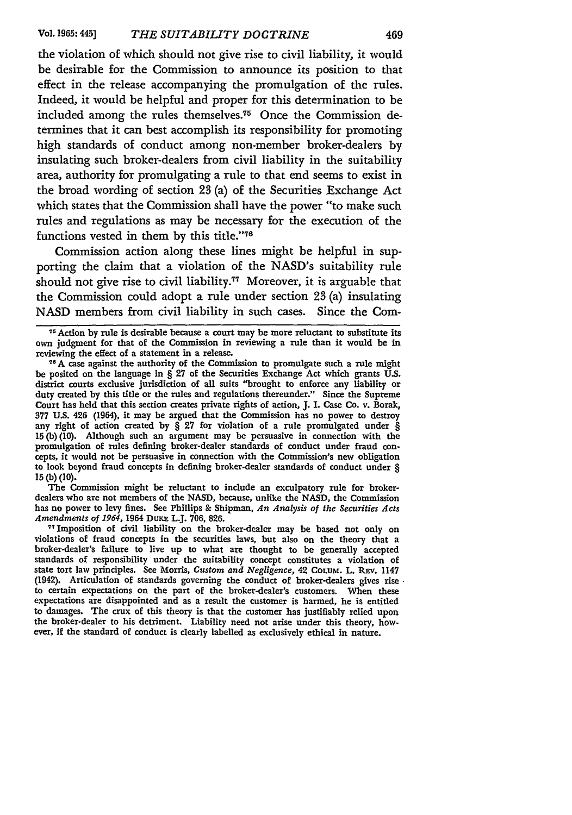the violation of which should not give rise to civil liability, it would be desirable for the Commission to announce its position to that effect in the release accompanying the promulgation of the rules. Indeed, it would be helpful and proper for this determination to be included among the rules themselves.<sup>75</sup> Once the Commission determines that it can best accomplish its responsibility for promoting high standards of conduct among non-member broker-dealers by insulating such broker-dealers from civil liability in the suitability area, authority for promulgating a rule to that end seems to exist in the broad wording of section 23 (a) of the Securities Exchange Act which states that the Commission shall have the power "to make such rules and regulations as may be necessary for the execution of the functions vested in them by this title."<sup>78</sup>

Commission action along these lines might be helpful in supporting the claim that a violation of the NASD's suitability rule should not give rise to civil liability.<sup>77</sup> Moreover, it is arguable that the Commission could adopt a rule under section 23 (a) insulating NASD members from civil liability in such cases. Since the Com-

The Commission might be reluctant to include an exculpatory rule for brokerdealers who are not members of the **NASD,** because, unlike the **NASD,** the Commission has no power to levy fines. See Phillips **&** Shipman, *An Analysis of the Securities Acts Amendments of 1964,* 1964 DuKE **LJ. 706, 826.**

77Imposition of civil liability on the broker-dealer may be based not only on violations of fraud concepts in the securities laws, but also on the theory that a broker-dealer's failure to live up to what are thought to be generally accepted standards of responsibility under the suitability concept constitutes a violation of state tort law principles. See Morris, *Custom and Negligence,* 42 **COLUm.** L. Rav. 1147 (1942). Articulation of standards governing the conduct of broker-dealers gives rise to certain expectations on the part of the broker-dealer's customers. When these expectations are disappointed and as a result the customer is harmed, he is entitled to damages. The crux of this theory is that the customer has justifiably relied upon the broker-dealer to his detriment. Liability need not arise under this theory, however, if the standard of conduct is clearly labelled as exclusively ethical in nature.

**<sup>71</sup>** Action **by** rule is desirable because a court may be more reluctant to substitute its own judgment for that of the Commission in reviewing a rule than it would be in reviewing the effect of a statement in a release.

**TO A** case against the authority of the Commission to promulgate such a rule might be posited on the language in § **27** of the Securities Exchange Act which grants **U.S.** district courts exclusive jurisdiction of all suits "brought to enforce any liability or duty created **by** this title or the rules and regulations thereunder." Since the Supreme Court has held that this section creates private rights of action, **J.** I. Case Co. v. Borak, **377 U.S.** 426 (1964), it may be argued that the Commission has no power to destroy any right of action created **by** § **27** for violation of a rule promulgated under § **15** (b)(10). Although such an argument may be persuasive in connection with the promulgation of rules defining broker-dealer standards of conduct under fraud concepts, it would not be persuasive in connection with the Commission's new obligation to look beyond fraud concepts in defining broker-dealer standards of conduct under § **15 (b) (10).**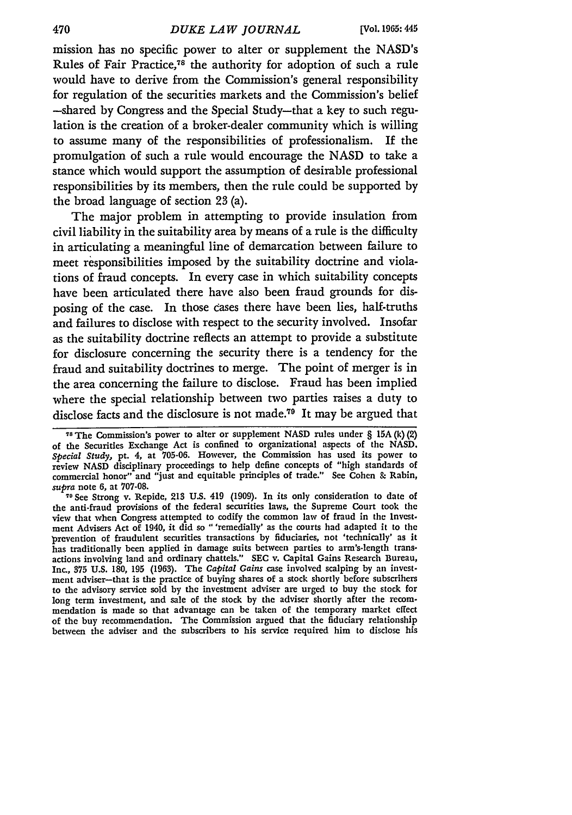mission has no specific power to alter or supplement the NASD's Rules of Fair Practice,78 the authority for adoption of such a rule would have to derive from the Commission's general responsibility for regulation of the securities markets and the Commission's belief -shared by Congress and the Special Study-that a key to such regulation is the creation of a broker-dealer community which is willing to assume many of the responsibilities of professionalism. If the promulgation of such a rule would encourage the NASD to take a stance which would support the assumption of desirable professional responsibilities by its members, then the rule could be supported by the broad language of section 23 (a).

The major problem in attempting to provide insulation from civil liability in the suitability area by means of a rule is the difficulty in articulating a meaningful line of demarcation between failure to meet responsibilities imposed by the suitability doctrine and violations of fraud concepts. In every case in which suitability concepts have been articulated there have also been fraud grounds for disposing of the case. In those cases there have been lies, half-truths and failures to disclose with respect to the security involved. Insofar as the suitability doctrine reflects an attempt to provide a substitute for disclosure concerning the security there is a tendency for the fraud and suitability doctrines to merge. The point of merger is in the area concerning the failure to disclose. Fraud has been implied where the special relationship between two parties raises a duty to disclose facts and the disclosure is not made. 79 It may be argued that

**<sup>7</sup> <sup>8</sup>**The Commission's power to alter or supplement **NASD** rules under § *15A* **(k)** (2) of the Securities Exchange Act is confined to organizational aspects of the NASD. *Special Study,* pt. 4, at 705-06. However, the Commission has used its power to review NASD disciplinary proceedings to help define concepts of "high standards of commercial honor" and "just and equitable principles of trade." See Cohen **&** Rabin, *supra* note 6, at 707-08.

**<sup>79</sup>**See Strong v. Repide, **213 U.S.** 419 **(1909).** In its only consideration to date of the anti-fraud provisions of the federal securities laws, the Supreme Court took the view that when Congress attempted to codify the common law of fraud in the Invest. ment Advisers Act of 1940, it did so "'remedially' as the courts had adapted it to the prevention of fraudulent securities transactions by fiduciaries, not 'technically' as it has traditionally been applied in damage suits between parties to arm's-length transactions involving land and ordinary chattels." **SEC** v. Capital Gains Research Bureau, Inc., **375 U.S.** 180, 195 (1963). The *Capital Gains* case involved scalping by an investment adviser-that is the practice of buying shares of a stock shortly before subscribers to the advisory service sold by the investment adviser are urged to buy the stock for long term investment, and sale of the stock by the adviser shortly after the recommendation is made so that advantage can **be** taken of the temporary market effect of the buy recommendation. The Commission argued that the fiduciary relationship between the adviser and the subscribers to his service required him to disclose his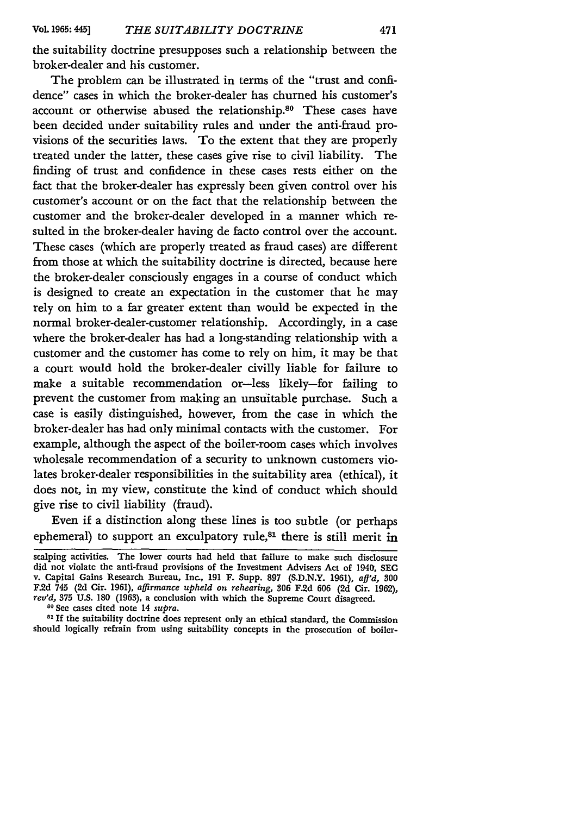the suitability doctrine presupposes such a relationship between the broker-dealer and his customer.

The problem can be illustrated in terms of the "trust and confidence" cases in which the broker-dealer has churned his customer's account or otherwise abused the relationship.<sup>80</sup> These cases have been decided under suitability rules and under the anti-fraud provisions of the securities laws. To the extent that they are properly treated under the latter, these cases give rise to civil liability. The finding of trust and confidence in these cases rests either on the fact that the broker-dealer has expressly been given control over his customer's account or on the fact that the relationship between the customer and the broker-dealer developed in a manner which resulted in the broker-dealer having de facto control over the account. These cases (which are properly treated as fraud cases) are different from those at which the suitability doctrine is directed, because here the broker-dealer consciously engages in a course of conduct which is designed to create an expectation in the customer that he may rely on him to a far greater extent than would be expected in the normal broker-dealer-customer relationship. Accordingly, in a case where the broker-dealer has had a long-standing relationship with a customer and the customer has come to rely on him, it may be that a court would hold the broker-dealer civilly liable for failure to make a suitable recommendation or-less likely-for failing to prevent the customer from making an unsuitable purchase. Such a case is easily distinguished, however, from the case in which the broker-dealer has had only minimal contacts with the customer. For example, although the aspect of the boiler-room cases which involves wholesale recommendation of a security to unknown customers violates broker-dealer responsibilities in the suitability area (ethical), it does not, in my view, constitute the kind of conduct which should give rise to civil liability (fraud).

Even if a distinction along these lines is too subtle (or perhaps ephemeral) to support an exculpatory rule,<sup>81</sup> there is still merit in

<sup>81</sup> If the suitability doctrine does represent only an ethical standard, the Commission should logically refrain from using suitability concepts in the prosecution of boiler-

scalping activities. The lower courts had held that failure to make such disclosure did not violate the anti-fraud provisions of the Investment Advisers Act of 1940, **SEC v.** Capital Gains Research Bureau, Inc., **191** F. Supp. 897 (S.D.N.Y. 1961), *aff'd, 300* F.2d 745 (2d Cir. 1961), *aflirmance upheld on rehearing,* **806** F.2d **606** (2d Cir. **1962),** rev'd, 375 U.S. 180 (1963), a conclusion with which the Supreme Court disagreed.

<sup>&</sup>lt;sup>80</sup> See cases cited note 14 *supra*.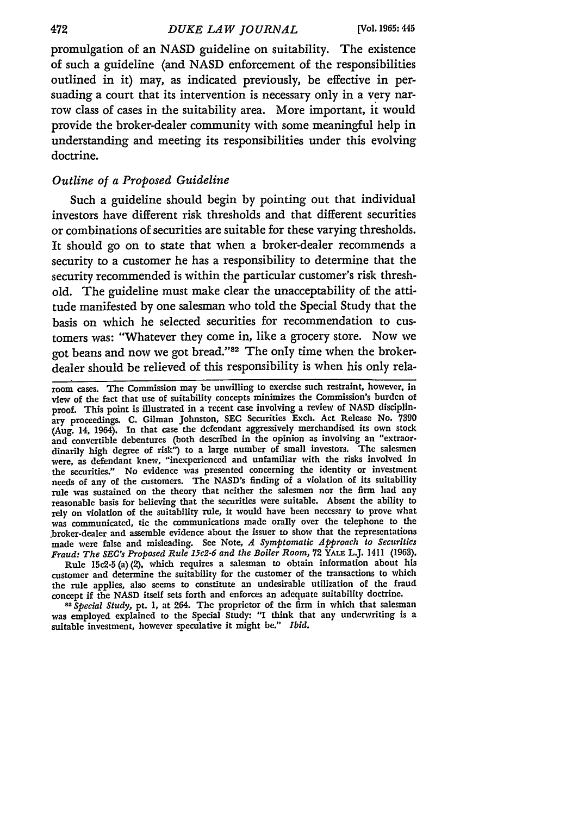promulgation of an NASD guideline on suitability. The existence of such a guideline (and NASD enforcement of the responsibilities outlined in it) may, as indicated previously, be effective in persuading a court that its intervention is necessary only in a very narrow class of cases in the suitability area. More important, it would provide the broker-dealer community with some meaningful help in understanding and meeting its responsibilities under this evolving doctrine.

### *Outline of a Proposed Guideline*

Such a guideline should begin by pointing out that individual investors have different risk thresholds and that different securities or combinations of securities are suitable for these varying thresholds. It should go on to state that when a broker-dealer recommends a security to a customer he has a responsibility to determine that the security recommended is within the particular customer's risk threshold. The guideline must make clear the unacceptability of the attitude manifested by one salesman who told the Special Study that the basis on which he selected securities for recommendation to customers was: "Whatever they come in, like a grocery store. Now we got beans and now we got bread."<sup>82</sup> The only time when the brokerdealer should be relieved of this responsibility is when his only rela-

room cases. The Commission may be unwilling to exercise such restraint, however, in view of the fact that use of suitability concepts minimizes the Commission's burden **of** proof. This point is illustrated in a recent case involving a review of **NASD** disciplinary proceedings. **C.** Gilman Johnston, **SEC** Securities Exch. Act Release No. **7390** (Aug. 14, 1964). In that case the defendant aggressively merchandised its own stock and convertible debentures (both described in the opinion as involving an "extraordinarily high degree of risk') to a large number of small investors. The salesmen were, as defendant knew, "inexperienced and unfamiliar with the risks involved in the securities." No evidence was presented concerning the identity or investment needs of any of the customers. The NASD's finding of a violation of its suitability rule was sustained on the theory that neither the salesmen nor the firm had any reasonable basis for believing that the securities were suitable. Absent the ability to rely on violation of the suitability rule, it would have been necessary to prove what was communicated, tie the communications made orally over the telephone to the .broker-dealer and assemble evidence about the issuer to show that the representations made were false and misleading. See Note, *A Symptomatic Approach to Securities Fraud: The SEC's Proposed Rule 15c2-6 and the Boiler Room,* **72** YALE L.J. 1411 **(1963).**

Rule 15c2-5 (a) (2), which requires a salesman to obtain information about his customer and determine the suitability for the customer of the transactions to which the rule applies, also seems to constitute an undesirable utilization of the fraud concept if the **NASD** itself sets forth and enforces an adequate suitability doctrine.

*<sup>82</sup>Special Study,* pt. 1, at 264. The proprietor of the firm in which that salesman was employed explained to the Special Study: "I think that any underwriting is a suitable investment, however speculative it might be." *Ibid.*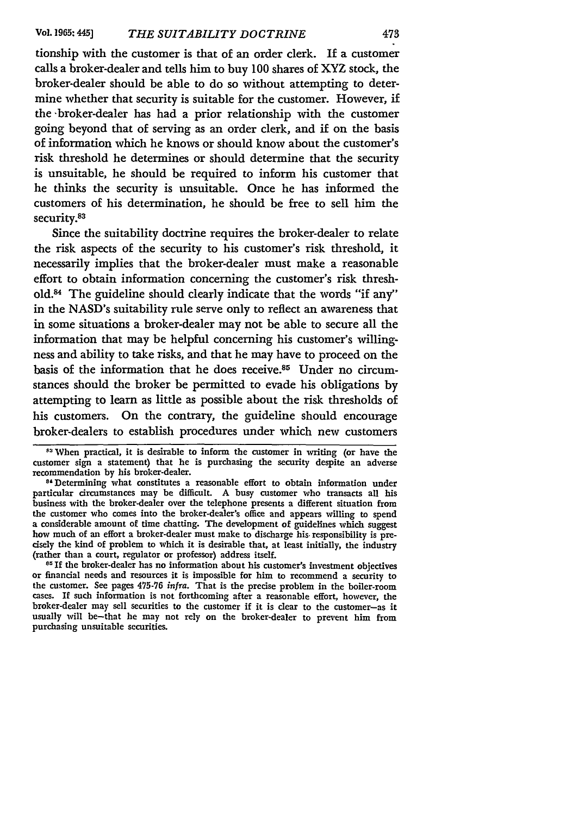tionship with the customer is that of an order clerk. If a customer calls a broker-dealer and tells him to buy 100 shares of XYZ stock, the broker-dealer should be able to do so without attempting to determine whether that security is suitable for the customer. However, if the -broker-dealer has had a prior relationship with the customer going beyond that of serving as an order clerk, and if on the basis of information which he knows or should know about the customer's risk threshold he determines or should determine that the security is unsuitable, he should be required to inform his customer that he thinks the security is unsuitable. Once he has informed the customers of his determination, he should be free to sell him the security.<sup>83</sup>

Since the suitability doctrine requires the broker-dealer to relate the risk aspects of the security to his customer's risk threshold, it necessarily implies that the broker-dealer must make a reasonable effort to obtain information concerning the customer's risk threshold.84 The guideline should clearly indicate that the words "if any" in the NASD's suitability rule serve only to reflect an awareness that in some situations a broker-dealer may not be able to secure all the information that may be helpful concerning his customer's willingness and ability to take risks, and that he may have to proceed on the basis of the information that he does receive.<sup>85</sup> Under no circumstances should the broker be permitted to evade his obligations by attempting to learn as little as possible about the risk thresholds of his customers. On the contrary, the guideline should encourage broker-dealers to establish procedures under which new customers

<sup>53</sup> When practical, it is desirable to inform the customer in writing (or have the customer sign a statement) that he is purchasing the security despite an adverse recommendation by his broker-dealer.

84 Determining what constitutes a reasonable effort to obtain information under particular circumstances may be difficult. A busy customer who transacts all his business with the broker-dealer over the telephone presents a different situation from the customer who comes into the broker-dealer's office and appears willing to spend a considerable amount of time chatting. The development of guidelines which suggest how much of an effort a broker-dealer must make to discharge his responsibility is precisely the kind of problem to which it is desirable (rather than a court, regulator or professor) address itself.

<sup>65</sup> If the broker-dealer has no information about his customer's investment objectives or financial needs and resources it is impossible for him to recommend a security to the customer. See pages **475-76** *infra.* That is the precise problem in the boiler-room cases. If such information is not forthcoming after a reasonable effort, however, the broker-dealer may sell securities to the customer if it is clear to the customer-as it usually will be-that he may not rely on the broker-dealer to prevent him from purchasing unsuitable securities.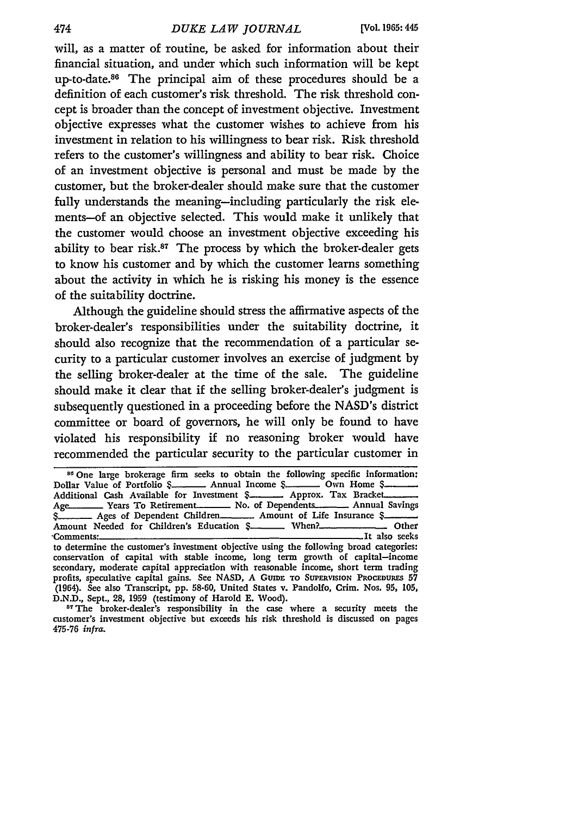will, as a matter of routine, be asked for information about their financial situation, and under which such information will be kept up-to-date.86 The principal aim of these procedures should be a definition of each customer's risk threshold. The risk threshold concept is broader than the concept of investment objective. Investment objective expresses what the customer wishes to achieve from his investment in relation to his willingness to bear risk. Risk threshold refers to the customer's willingness and ability to bear risk. Choice of an investment objective is personal and must be made by the customer, but the broker-dealer should make sure that the customer fully understands the meaning-including particularly the risk elements-of an objective selected. This would make it unlikely that the customer would choose an investment objective exceeding his ability to bear risk. $87$  The process by which the broker-dealer gets to know his customer and by which the customer learns something about the activity in which he is risking his money is the essence of the suitability doctrine.

Although the guideline should stress the affirmative aspects of the broker-dealer's responsibilities under the suitability doctrine, it should also recognize that the recommendation of a particular security to a particular customer involves an exercise of judgment by the selling broker-dealer at the time of the sale. The guideline should make it clear that if the selling broker-dealer's judgment is subsequently questioned in a proceeding before the NASD's district committee or board of governors, he will only be found to have violated his responsibility if no reasoning broker would have recommended the particular security to the particular customer in

8 <sup>7</sup> The broker-dealer's responsibility in the case where a security meets the customer's investment objective but exceeds his risk threshold is discussed on pages **475-76** *infra.*

<sup>86</sup> One large brokerage firm seeks to obtain the following specific information: Dollar Value of Portfolio  $\frac{1}{2}$  Annual Income  $\frac{2}{2}$  Own Home  $\frac{1}{2}$ Additional Cash Available for Investment \$ \_\_\_\_\_ Approx. Tax Bracket ........ Age Years To Retirement\_\_\_ No. of Dependents.....-.. Annual Savings **\$** Ages of Dependent **Children** Amount of Life Insurance **\$.** Amount Needed for Children's Education \$ \_\_\_\_\_\_\_ When? \_\_\_\_\_\_\_\_\_\_\_\_\_\_ Other -Comments: It also seeks to determine the customer's investment objective using the following broad categories: conservation of capital with stable income, long term growth of capital-income secondary, moderate capital appreciation with reasonable income, short term trading profits, speculative capital gains. See NASD, A GUIDE TO SUPERVISION PROCEDURES 57 (1964). See also **Transcript, pp. 58-60,** United States v. Pandolfo, Crim. Nos. **95, 105, D.N.D.,** Sept., *28,* **1959** (testimony of Harold **E.** Wood).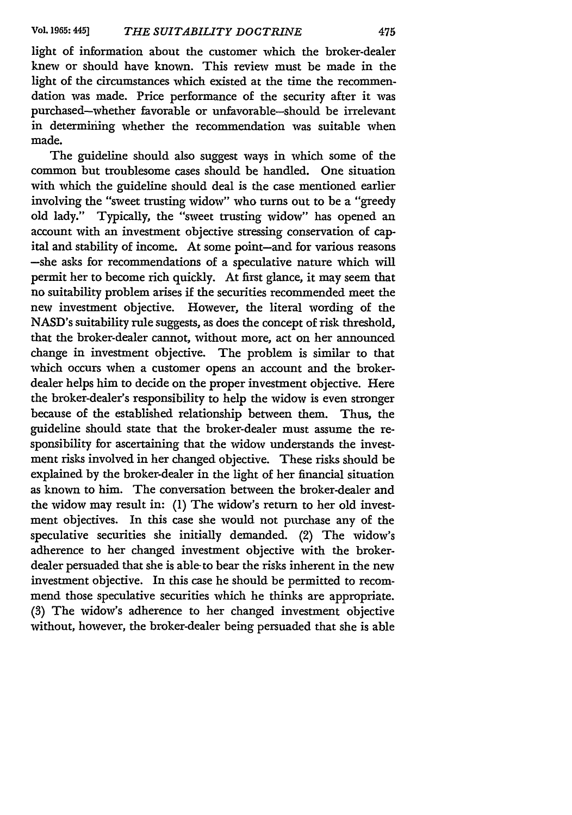light of information about the customer which the broker-dealer knew or should have known. This review must be made in the light of the circumstances which existed at the time the recommendation was made. Price performance of the security after it was purchased-whether favorable or unfavorable-should be irrelevant in determining whether the recommendation was suitable when made.

The guideline should also suggest ways in which some of the common but troublesome cases should be handled. One situation with which the guideline should deal is the case mentioned earlier involving the "sweet trusting widow" who turns out to be a "greedy old lady." Typically, the "sweet trusting widow" has opened an account with an investment objective stressing conservation of capital and stability of income. At some point-and for various reasons -she asks for recommendations of a speculative nature which will permit her to become rich quickly. At first glance, it may seem that no suitability problem arises if the securities recommended meet the new investment objective. However, the literal wording of the NASD's suitability rule suggests, as does the concept of risk threshold, that the broker-dealer cannot, without more, act on her announced change in investment objective. The problem is similar to that which occurs when a customer opens an account and the brokerdealer helps him to decide on the proper investment objective. Here the broker-dealer's responsibility to help the widow is even stronger because of the established relationship between them. Thus, the guideline should state that the broker-dealer must assume the responsibility for ascertaining that the widow understands the investment risks involved in her changed objective. These risks should be explained **by** the broker-dealer in the light of her financial situation as known to him. The conversation between the broker-dealer and the widow may result in: **(1)** The widow's return to her old investment objectives. In this case she would not purchase any of the speculative securities she initially demanded. (2) The widow's adherence to her changed investment objective with the brokerdealer persuaded that she is able-to bear the risks inherent in the new investment objective. In this case he should be permitted to recommend those speculative securities which he thinks are appropriate. **(3)** The widow's adherence to her changed investment objective without, however, the broker-dealer being persuaded that she is able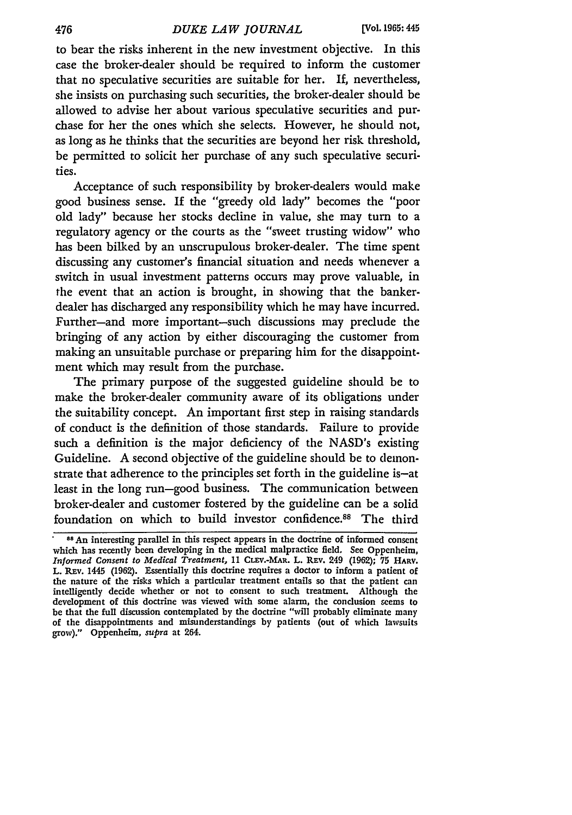#### *DUKE LAW JOURNAL*

to bear the risks inherent in the new investment objective. In this case the broker-dealer should be required to inform the customer that no speculative securities are suitable for her. If, nevertheless, she insists on purchasing such securities, the broker-dealer should be allowed to advise her about various speculative securities and purchase for her the ones which she selects. However, he should not, as long as he thinks that the securities are beyond her risk threshold, be permitted to solicit her purchase of any such speculative securities.

Acceptance of such responsibility by broker-dealers would make good business sense. If the "greedy old lady" becomes the "poor old lady" because her stocks decline in value, she may turn to a regulatory agency or the courts as the "sweet trusting widow" who has been bilked by an unscrupulous broker-dealer. The time spent discussing any customer's financial situation and needs whenever a switch in usual investment patterns occurs may prove valuable, in the event that an action is brought, in showing that the bankerdealer has discharged any responsibility which he may have incurred. Further-and more important-such discussions may preclude the bringing of any action by either discouraging the customer from making an unsuitable purchase or preparing him for the disappointment which may result from the purchase.

The primary purpose of the suggested guideline should be to make the broker-dealer community aware of its obligations under the suitability concept. An important first step in raising standards of conduct is the definition of those standards. Failure to provide such a definition is the major deficiency of the NASD's existing Guideline. **A** second objective of the guideline should be to demonstrate that adherence to the principles set forth in the guideline is-at least in the long run-good business. The communication between broker-dealer and customer fostered by the guideline can be a solid foundation on which to build investor confidence.<sup>88</sup> The third

**S**<br> **88** An interesting parallel in this respect appears in the doctrine of informed consent which has recently been developing in the medical malpractice field. **See** Oppenheim, *Informed Consent to Medical Treatment,* **11 CLEV.-MAR.** L. **REv.** 249 **(1962); 75 HARV.** L. REv. 1445 (1962). Essentially this doctrine requires a doctor to inform a patient of the nature of the risks which a particular treatment entails so that the patient can intelligently decide whether or not to consent to such treatment. Although the development of this doctrine was viewed with some alarm, the conclusion seems to be that the full discussion contemplated by the doctrine "will probably eliminate many of the disappointments and misunderstandings by patients (out of which lawsuits grow)." Oppenheim, *supra* at 264.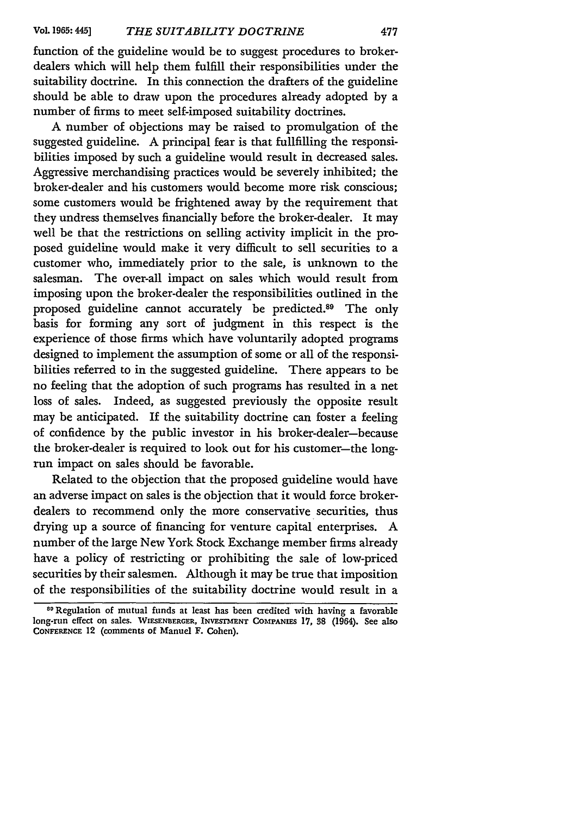function of the guideline would be to suggest procedures to brokerdealers which will help them fulfill their responsibilities under the suitability doctrine. In this connection the drafters of the guideline should be able to draw upon the procedures already adopted by a number of firms to meet self-imposed suitability doctrines.

A number of objections may be raised to promulgation of the suggested guideline. A principal fear is that fullfilling the responsibilities imposed by such a guideline would result in decreased sales. Aggressive merchandising practices would be severely inhibited; the broker-dealer and his customers would become more risk conscious; some customers would be frightened away by the requirement that they undress themselves financially before the broker-dealer. It may well be that the restrictions on selling activity implicit in the proposed guideline would make it very difficult to sell securities to a customer who, immediately prior to the sale, is unknown to the salesman. The over-all impact on sales which would result from imposing upon the broker-dealer the responsibilities outlined in the proposed guideline cannot accurately be predicted.<sup>89</sup> The only basis for forming any sort of judgment in this respect is the experience of those firms which have voluntarily adopted programs designed to implement the assumption of some or all of the responsibilities referred to in the suggested guideline. There appears to be no feeling that the adoption of such programs has resulted in a net loss of sales. Indeed, as suggested previously the opposite result may be anticipated. If the suitability doctrine can foster a feeling of confidence by the public investor in his broker-dealer-because the broker-dealer is required to look out for his customer-the longrun impact on sales should be favorable.

Related to the objection that the proposed guideline would have an adverse impact on sales is the objection that it would force brokerdealers to recommend only the more conservative securities, thus drying up a source of financing for venture capital enterprises. number of the large New York Stock Exchange member firms already have a policy of restricting or prohibiting the sale of low-priced securities by their salesmen. Although it may be true that imposition of the responsibilities of the suitability doctrine would result in a

**<sup>8</sup>O** Regulation of mutual funds at least has been credited with having a favorable long-run effect on sales. WIESENBERGER, INVESTMENT COMPANIES 17, 38 (1964). See also **CONFERENCE** 12 (comments of Manuel F. Cohen).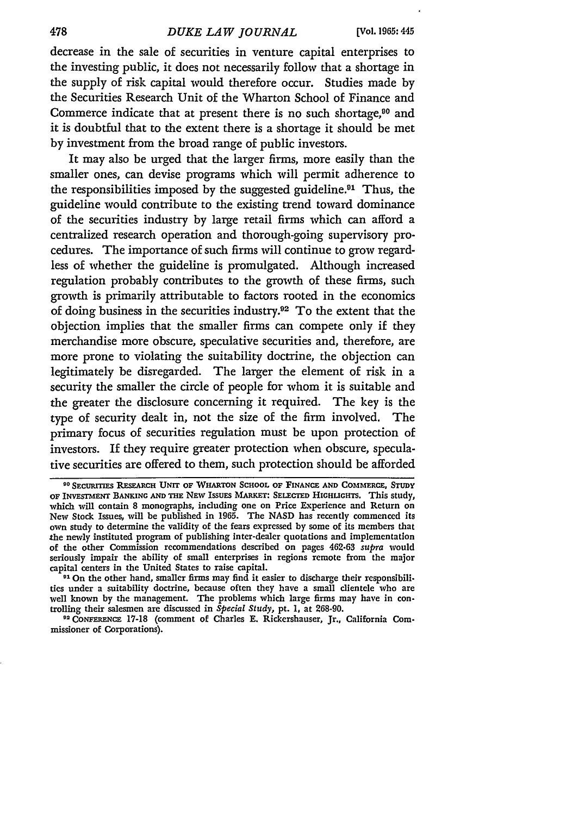#### *DUKE LAW JOURNAL*

decrease in the sale of securities in venture capital enterprises to the investing public, it does not necessarily follow that a shortage in the supply of risk capital would therefore occur. Studies made by the Securities Research Unit of the Wharton School of Finance and Commerce indicate that at present there is no such shortage, $00$  and it is doubtful that to the extent there is a shortage it should be met by investment from the broad range of public investors.

It may also be urged that the larger firms, more easily than the smaller ones, can devise programs which will permit adherence to the responsibilities imposed by the suggested guideline. $91$  Thus, the guideline would contribute to the existing trend toward dominance of the securities industry by large retail firms which can afford a centralized research operation and thorough-going supervisory procedures. The importance of such firms will continue to grow regardless of whether the guideline is promulgated. Although increased regulation probably contributes to the growth of these firms, such growth is primarily attributable to factors rooted in the economics of doing business in the securities industry.92 To the extent that the objection implies that the smaller firms can compete only if they merchandise more obscure, speculative securities and, therefore, are more prone to violating the suitability doctrine, the objection can legitimately be disregarded. The larger the element of risk in a security the smaller the circle of people for whom it is suitable and the greater the disclosure concerning it required. The key is the type of security dealt in, not the size of the firm involved. The primary focus of securities regulation must be upon protection of investors. If they require greater protection when obscure, speculative securities are offered to them, such protection should be afforded

**go SECURITIES RESEARCH UNIT OF** WHARTON **SCHOOL** OF **FINANCE AND** COMMERCE, **STUDY** OF INVESTMENT BANKING **AND THE** *NEW* IssUEs MARKET: **SELECTED HIGHLIGHTS.** This study, which will contain **8** monographs, including one on Price Experience and Return on New Stock Issues, will be published in **1965.** The **NASD** has recently commenced its own study to determine the validity of the fears expressed **by** some of its members that the newly instituted program of publishing inter-dealer quotations and implementation of the other Commission recommendations described on pages 462-63 supra would seriously impair the ability of small enterprises in regions remote from the major capital centers in the United States to raise capital.

<sup>&</sup>lt;sup>91</sup> On the other hand, smaller firms may find it easier to discharge their responsibilities under a suitability doctrine, because often they have a small clientele who are well known **by** the management. The problems which large firms may have in controlling their salesmen are discussed in *Special Study,* pt. **1,** at **268-90.**

**<sup>92</sup> CONFERENCE 17-18** (comment of Charles **E.** Rickershauser, Jr., California Commissioner of Corporations).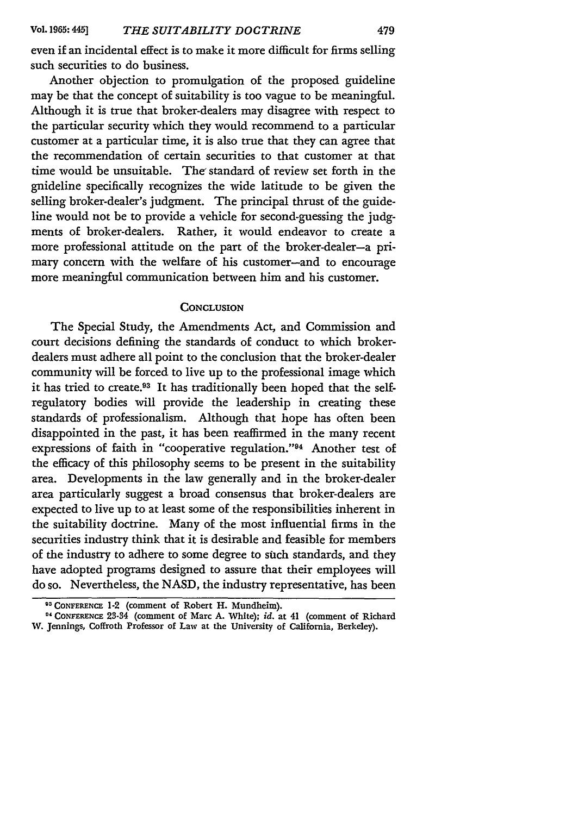479

even if an incidental effect is to make it more difficult for firms selling such securities to do business.

Another objection to promulgation of the proposed guideline may be that the concept of suitability is too vague to be meaningful. Although it is true that broker-dealers may disagree with respect to the particular security which they would recommend to a particular customer at a particular time, it is also true that they can agree that the recommendation of certain securities to that customer at that time would be unsuitable. The standard of review set forth in the guideline specifically recognizes the wide latitude to be given the selling broker-dealer's judgment. The principal thrust of the guideline would not be to provide a vehicle for second-guessing the judgments of broker-dealers. Rather, it would endeavor to create a more professional attitude on the part of the broker-dealer-a primary concern with the welfare of his customer-and to encourage more meaningful communication between him and his customer.

#### **CONCLUSION**

The Special Study, the Amendments Act, and Commission and court decisions defining the standards of conduct to which brokerdealers must adhere all point to the conclusion that the broker-dealer community will be forced to live up to the professional image which it has tried to create.<sup>93</sup> It has traditionally been hoped that the selfregulatory bodies will provide the leadership in creating these standards of professionalism. Although that hope has often been disappointed in the past, it has been reaffirmed in the many recent expressions of faith in "cooperative regulation."<sup>94</sup> Another test of the efficacy of this philosophy seems to be present in the suitability area. Developments in the law generally and in the broker-dealer area particularly suggest a broad consensus that broker-dealers are expected to live up to at least some of the responsibilities inherent in the suitability doctrine. Many of the most influential firms in the securities industry think that it is desirable and feasible for members of the industry to adhere to some degree to such standards, and they have adopted programs designed to assure that their employees will do so. Nevertheless, the **NASD,** the industry representative, has been

<sup>&</sup>lt;sup>03</sup> CONFERENCE 1-2 (comment of Robert H. Mundheim).

<sup>&</sup>lt;sup>04</sup> CONFERENCE 23-34 (comment of Marc A. White); *id.* at 41 (comment of Richard W. Jennings, Coffroth Professor of Law at the University of California, Berkeley).